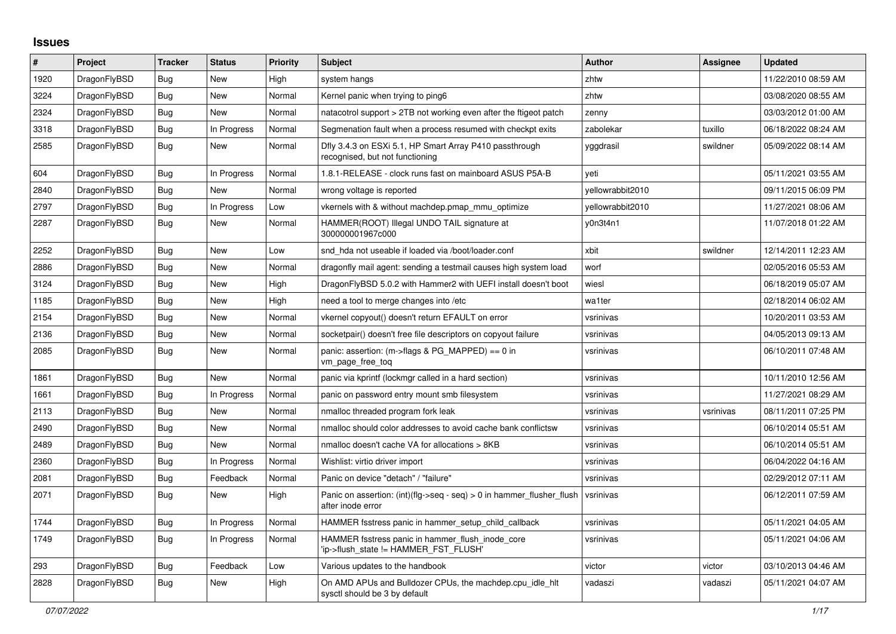## **Issues**

| $\#$ | Project      | <b>Tracker</b> | <b>Status</b> | <b>Priority</b> | <b>Subject</b>                                                                                | <b>Author</b>    | Assignee  | <b>Updated</b>      |
|------|--------------|----------------|---------------|-----------------|-----------------------------------------------------------------------------------------------|------------------|-----------|---------------------|
| 1920 | DragonFlyBSD | <b>Bug</b>     | <b>New</b>    | High            | system hangs                                                                                  | zhtw             |           | 11/22/2010 08:59 AM |
| 3224 | DragonFlyBSD | Bug            | New           | Normal          | Kernel panic when trying to ping6                                                             | zhtw             |           | 03/08/2020 08:55 AM |
| 2324 | DragonFlyBSD | <b>Bug</b>     | New           | Normal          | natacotrol support > 2TB not working even after the ftigeot patch                             | zenny            |           | 03/03/2012 01:00 AM |
| 3318 | DragonFlyBSD | Bug            | In Progress   | Normal          | Segmenation fault when a process resumed with checkpt exits                                   | zabolekar        | tuxillo   | 06/18/2022 08:24 AM |
| 2585 | DragonFlyBSD | Bug            | New           | Normal          | Dfly 3.4.3 on ESXi 5.1, HP Smart Array P410 passthrough<br>recognised, but not functioning    | yggdrasil        | swildner  | 05/09/2022 08:14 AM |
| 604  | DragonFlyBSD | Bug            | In Progress   | Normal          | 1.8.1-RELEASE - clock runs fast on mainboard ASUS P5A-B                                       | yeti             |           | 05/11/2021 03:55 AM |
| 2840 | DragonFlyBSD | Bug            | New           | Normal          | wrong voltage is reported                                                                     | vellowrabbit2010 |           | 09/11/2015 06:09 PM |
| 2797 | DragonFlyBSD | Bug            | In Progress   | Low             | vkernels with & without machdep.pmap mmu optimize                                             | yellowrabbit2010 |           | 11/27/2021 08:06 AM |
| 2287 | DragonFlyBSD | Bug            | New           | Normal          | HAMMER(ROOT) Illegal UNDO TAIL signature at<br>300000001967c000                               | y0n3t4n1         |           | 11/07/2018 01:22 AM |
| 2252 | DragonFlyBSD | Bug            | New           | Low             | snd hda not useable if loaded via /boot/loader.conf                                           | xbit             | swildner  | 12/14/2011 12:23 AM |
| 2886 | DragonFlyBSD | Bug            | New           | Normal          | dragonfly mail agent: sending a testmail causes high system load                              | worf             |           | 02/05/2016 05:53 AM |
| 3124 | DragonFlyBSD | Bug            | New           | High            | DragonFlyBSD 5.0.2 with Hammer2 with UEFI install doesn't boot                                | wiesl            |           | 06/18/2019 05:07 AM |
| 1185 | DragonFlyBSD | Bug            | <b>New</b>    | High            | need a tool to merge changes into /etc                                                        | wa1ter           |           | 02/18/2014 06:02 AM |
| 2154 | DragonFlyBSD | Bug            | <b>New</b>    | Normal          | vkernel copyout() doesn't return EFAULT on error                                              | vsrinivas        |           | 10/20/2011 03:53 AM |
| 2136 | DragonFlyBSD | <b>Bug</b>     | New           | Normal          | socketpair() doesn't free file descriptors on copyout failure                                 | vsrinivas        |           | 04/05/2013 09:13 AM |
| 2085 | DragonFlyBSD | <b>Bug</b>     | New           | Normal          | panic: assertion: (m->flags & PG_MAPPED) == 0 in<br>vm_page_free_toq                          | vsrinivas        |           | 06/10/2011 07:48 AM |
| 1861 | DragonFlyBSD | Bug            | New           | Normal          | panic via kprintf (lockmgr called in a hard section)                                          | vsrinivas        |           | 10/11/2010 12:56 AM |
| 1661 | DragonFlyBSD | Bug            | In Progress   | Normal          | panic on password entry mount smb filesystem                                                  | vsrinivas        |           | 11/27/2021 08:29 AM |
| 2113 | DragonFlyBSD | <b>Bug</b>     | <b>New</b>    | Normal          | nmalloc threaded program fork leak                                                            | vsrinivas        | vsrinivas | 08/11/2011 07:25 PM |
| 2490 | DragonFlyBSD | <b>Bug</b>     | New           | Normal          | nmalloc should color addresses to avoid cache bank conflictsw                                 | vsrinivas        |           | 06/10/2014 05:51 AM |
| 2489 | DragonFlyBSD | <b>Bug</b>     | <b>New</b>    | Normal          | nmalloc doesn't cache VA for allocations > 8KB                                                | vsrinivas        |           | 06/10/2014 05:51 AM |
| 2360 | DragonFlyBSD | Bug            | In Progress   | Normal          | Wishlist: virtio driver import                                                                | vsrinivas        |           | 06/04/2022 04:16 AM |
| 2081 | DragonFlyBSD | Bug            | Feedback      | Normal          | Panic on device "detach" / "failure"                                                          | vsrinivas        |           | 02/29/2012 07:11 AM |
| 2071 | DragonFlyBSD | Bug            | <b>New</b>    | High            | Panic on assertion: $(int)(flag->seq - seq) > 0$ in hammer flusher flush<br>after inode error | vsrinivas        |           | 06/12/2011 07:59 AM |
| 1744 | DragonFlyBSD | <b>Bug</b>     | In Progress   | Normal          | HAMMER fsstress panic in hammer setup child callback                                          | vsrinivas        |           | 05/11/2021 04:05 AM |
| 1749 | DragonFlyBSD | Bug            | In Progress   | Normal          | HAMMER fsstress panic in hammer flush inode core<br>'ip->flush state != HAMMER FST FLUSH'     | vsrinivas        |           | 05/11/2021 04:06 AM |
| 293  | DragonFlyBSD | Bug            | Feedback      | Low             | Various updates to the handbook                                                               | victor           | victor    | 03/10/2013 04:46 AM |
| 2828 | DragonFlyBSD | <b>Bug</b>     | <b>New</b>    | High            | On AMD APUs and Bulldozer CPUs, the machdep.cpu idle hit<br>sysctl should be 3 by default     | vadaszi          | vadaszi   | 05/11/2021 04:07 AM |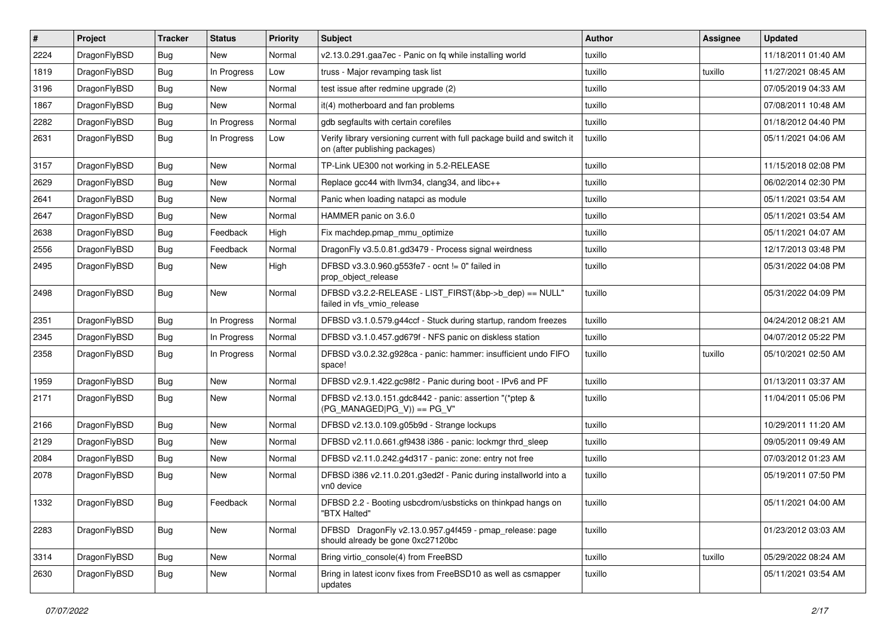| $\vert$ # | Project      | <b>Tracker</b> | <b>Status</b> | <b>Priority</b> | <b>Subject</b>                                                                                            | <b>Author</b> | Assignee | <b>Updated</b>      |
|-----------|--------------|----------------|---------------|-----------------|-----------------------------------------------------------------------------------------------------------|---------------|----------|---------------------|
| 2224      | DragonFlyBSD | Bug            | New           | Normal          | v2.13.0.291.gaa7ec - Panic on fq while installing world                                                   | tuxillo       |          | 11/18/2011 01:40 AM |
| 1819      | DragonFlyBSD | <b>Bug</b>     | In Progress   | Low             | truss - Major revamping task list                                                                         | tuxillo       | tuxillo  | 11/27/2021 08:45 AM |
| 3196      | DragonFlyBSD | <b>Bug</b>     | <b>New</b>    | Normal          | test issue after redmine upgrade (2)                                                                      | tuxillo       |          | 07/05/2019 04:33 AM |
| 1867      | DragonFlyBSD | Bug            | <b>New</b>    | Normal          | it(4) motherboard and fan problems                                                                        | tuxillo       |          | 07/08/2011 10:48 AM |
| 2282      | DragonFlyBSD | <b>Bug</b>     | In Progress   | Normal          | gdb segfaults with certain corefiles                                                                      | tuxillo       |          | 01/18/2012 04:40 PM |
| 2631      | DragonFlyBSD | Bug            | In Progress   | Low             | Verify library versioning current with full package build and switch it<br>on (after publishing packages) | tuxillo       |          | 05/11/2021 04:06 AM |
| 3157      | DragonFlyBSD | <b>Bug</b>     | New           | Normal          | TP-Link UE300 not working in 5.2-RELEASE                                                                  | tuxillo       |          | 11/15/2018 02:08 PM |
| 2629      | DragonFlyBSD | <b>Bug</b>     | <b>New</b>    | Normal          | Replace gcc44 with llvm34, clang34, and libc++                                                            | tuxillo       |          | 06/02/2014 02:30 PM |
| 2641      | DragonFlyBSD | Bug            | <b>New</b>    | Normal          | Panic when loading natapci as module                                                                      | tuxillo       |          | 05/11/2021 03:54 AM |
| 2647      | DragonFlyBSD | <b>Bug</b>     | New           | Normal          | HAMMER panic on 3.6.0                                                                                     | tuxillo       |          | 05/11/2021 03:54 AM |
| 2638      | DragonFlyBSD | Bug            | Feedback      | High            | Fix machdep.pmap_mmu_optimize                                                                             | tuxillo       |          | 05/11/2021 04:07 AM |
| 2556      | DragonFlyBSD | <b>Bug</b>     | Feedback      | Normal          | DragonFly v3.5.0.81.gd3479 - Process signal weirdness                                                     | tuxillo       |          | 12/17/2013 03:48 PM |
| 2495      | DragonFlyBSD | Bug            | <b>New</b>    | High            | DFBSD v3.3.0.960.g553fe7 - ocnt != 0" failed in<br>prop_object_release                                    | tuxillo       |          | 05/31/2022 04:08 PM |
| 2498      | DragonFlyBSD | <b>Bug</b>     | New           | Normal          | DFBSD v3.2.2-RELEASE - LIST FIRST(&bp->b dep) == NULL"<br>failed in vfs_vmio_release                      | tuxillo       |          | 05/31/2022 04:09 PM |
| 2351      | DragonFlyBSD | Bug            | In Progress   | Normal          | DFBSD v3.1.0.579.g44ccf - Stuck during startup, random freezes                                            | tuxillo       |          | 04/24/2012 08:21 AM |
| 2345      | DragonFlyBSD | Bug            | In Progress   | Normal          | DFBSD v3.1.0.457.gd679f - NFS panic on diskless station                                                   | tuxillo       |          | 04/07/2012 05:22 PM |
| 2358      | DragonFlyBSD | Bug            | In Progress   | Normal          | DFBSD v3.0.2.32.g928ca - panic: hammer: insufficient undo FIFO<br>space!                                  | tuxillo       | tuxillo  | 05/10/2021 02:50 AM |
| 1959      | DragonFlyBSD | <b>Bug</b>     | <b>New</b>    | Normal          | DFBSD v2.9.1.422.gc98f2 - Panic during boot - IPv6 and PF                                                 | tuxillo       |          | 01/13/2011 03:37 AM |
| 2171      | DragonFlyBSD | <b>Bug</b>     | <b>New</b>    | Normal          | DFBSD v2.13.0.151.gdc8442 - panic: assertion "(*ptep &<br>$(PG_MANAGED PG_V)) == PG_V''$                  | tuxillo       |          | 11/04/2011 05:06 PM |
| 2166      | DragonFlyBSD | Bug            | <b>New</b>    | Normal          | DFBSD v2.13.0.109.g05b9d - Strange lockups                                                                | tuxillo       |          | 10/29/2011 11:20 AM |
| 2129      | DragonFlyBSD | Bug            | <b>New</b>    | Normal          | DFBSD v2.11.0.661.gf9438 i386 - panic: lockmgr thrd sleep                                                 | tuxillo       |          | 09/05/2011 09:49 AM |
| 2084      | DragonFlyBSD | <b>Bug</b>     | <b>New</b>    | Normal          | DFBSD v2.11.0.242.g4d317 - panic: zone: entry not free                                                    | tuxillo       |          | 07/03/2012 01:23 AM |
| 2078      | DragonFlyBSD | Bug            | New           | Normal          | DFBSD i386 v2.11.0.201.g3ed2f - Panic during installworld into a<br>vn0 device                            | tuxillo       |          | 05/19/2011 07:50 PM |
| 1332      | DragonFlyBSD | <b>Bug</b>     | Feedback      | Normal          | DFBSD 2.2 - Booting usbcdrom/usbsticks on thinkpad hangs on<br>"BTX Halted"                               | tuxillo       |          | 05/11/2021 04:00 AM |
| 2283      | DragonFlyBSD | <b>Bug</b>     | New           | Normal          | DFBSD DragonFly v2.13.0.957.g4f459 - pmap_release: page<br>should already be gone 0xc27120bc              | tuxillo       |          | 01/23/2012 03:03 AM |
| 3314      | DragonFlyBSD | Bug            | New           | Normal          | Bring virtio_console(4) from FreeBSD                                                                      | tuxillo       | tuxillo  | 05/29/2022 08:24 AM |
| 2630      | DragonFlyBSD | Bug            | New           | Normal          | Bring in latest iconv fixes from FreeBSD10 as well as csmapper<br>updates                                 | tuxillo       |          | 05/11/2021 03:54 AM |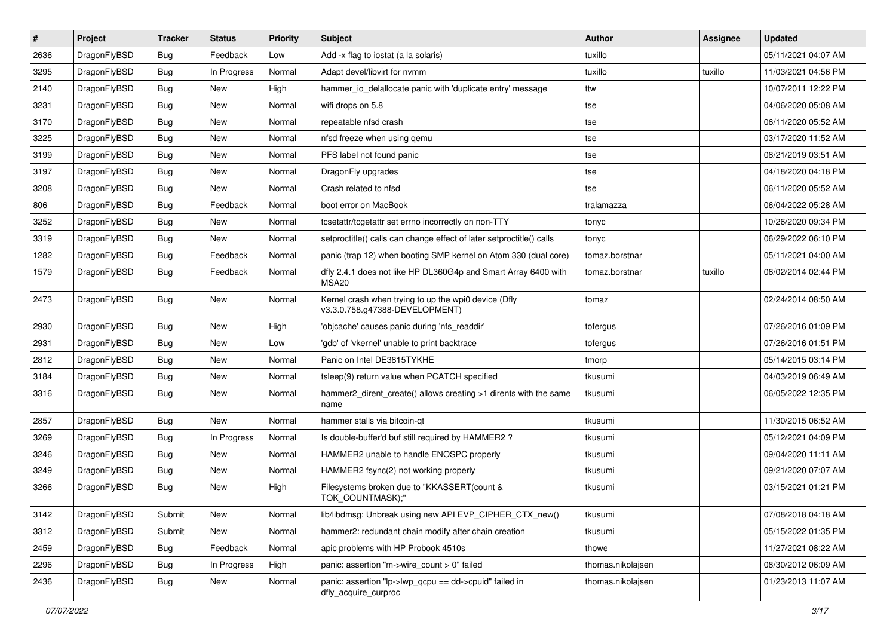| #    | Project      | <b>Tracker</b> | <b>Status</b> | <b>Priority</b> | Subject                                                                                | <b>Author</b>     | <b>Assignee</b> | <b>Updated</b>      |
|------|--------------|----------------|---------------|-----------------|----------------------------------------------------------------------------------------|-------------------|-----------------|---------------------|
| 2636 | DragonFlyBSD | Bug            | Feedback      | Low             | Add -x flag to iostat (a la solaris)                                                   | tuxillo           |                 | 05/11/2021 04:07 AM |
| 3295 | DragonFlyBSD | Bug            | In Progress   | Normal          | Adapt devel/libvirt for nvmm                                                           | tuxillo           | tuxillo         | 11/03/2021 04:56 PM |
| 2140 | DragonFlyBSD | <b>Bug</b>     | New           | High            | hammer_io_delallocate panic with 'duplicate entry' message                             | ttw               |                 | 10/07/2011 12:22 PM |
| 3231 | DragonFlyBSD | <b>Bug</b>     | New           | Normal          | wifi drops on 5.8                                                                      | tse               |                 | 04/06/2020 05:08 AM |
| 3170 | DragonFlyBSD | Bug            | <b>New</b>    | Normal          | repeatable nfsd crash                                                                  | tse               |                 | 06/11/2020 05:52 AM |
| 3225 | DragonFlyBSD | <b>Bug</b>     | New           | Normal          | nfsd freeze when using gemu                                                            | tse               |                 | 03/17/2020 11:52 AM |
| 3199 | DragonFlyBSD | <b>Bug</b>     | New           | Normal          | PFS label not found panic                                                              | tse               |                 | 08/21/2019 03:51 AM |
| 3197 | DragonFlyBSD | <b>Bug</b>     | <b>New</b>    | Normal          | DragonFly upgrades                                                                     | tse               |                 | 04/18/2020 04:18 PM |
| 3208 | DragonFlyBSD | <b>Bug</b>     | New           | Normal          | Crash related to nfsd                                                                  | tse               |                 | 06/11/2020 05:52 AM |
| 806  | DragonFlyBSD | Bug            | Feedback      | Normal          | boot error on MacBook                                                                  | tralamazza        |                 | 06/04/2022 05:28 AM |
| 3252 | DragonFlyBSD | <b>Bug</b>     | New           | Normal          | tcsetattr/tcgetattr set errno incorrectly on non-TTY                                   | tonyc             |                 | 10/26/2020 09:34 PM |
| 3319 | DragonFlyBSD | <b>Bug</b>     | New           | Normal          | setproctitle() calls can change effect of later setproctitle() calls                   | tonyc             |                 | 06/29/2022 06:10 PM |
| 1282 | DragonFlyBSD | <b>Bug</b>     | Feedback      | Normal          | panic (trap 12) when booting SMP kernel on Atom 330 (dual core)                        | tomaz.borstnar    |                 | 05/11/2021 04:00 AM |
| 1579 | DragonFlyBSD | <b>Bug</b>     | Feedback      | Normal          | dfly 2.4.1 does not like HP DL360G4p and Smart Array 6400 with<br>MSA20                | tomaz.borstnar    | tuxillo         | 06/02/2014 02:44 PM |
| 2473 | DragonFlyBSD | Bug            | <b>New</b>    | Normal          | Kernel crash when trying to up the wpi0 device (Dfly<br>v3.3.0.758.g47388-DEVELOPMENT) | tomaz             |                 | 02/24/2014 08:50 AM |
| 2930 | DragonFlyBSD | Bug            | <b>New</b>    | High            | 'objcache' causes panic during 'nfs_readdir'                                           | tofergus          |                 | 07/26/2016 01:09 PM |
| 2931 | DragonFlyBSD | <b>Bug</b>     | New           | Low             | 'gdb' of 'vkernel' unable to print backtrace                                           | tofergus          |                 | 07/26/2016 01:51 PM |
| 2812 | DragonFlyBSD | <b>Bug</b>     | New           | Normal          | Panic on Intel DE3815TYKHE                                                             | tmorp             |                 | 05/14/2015 03:14 PM |
| 3184 | DragonFlyBSD | <b>Bug</b>     | <b>New</b>    | Normal          | tsleep(9) return value when PCATCH specified                                           | tkusumi           |                 | 04/03/2019 06:49 AM |
| 3316 | DragonFlyBSD | Bug            | <b>New</b>    | Normal          | hammer2_dirent_create() allows creating >1 dirents with the same<br>name               | tkusumi           |                 | 06/05/2022 12:35 PM |
| 2857 | DragonFlyBSD | Bug            | New           | Normal          | hammer stalls via bitcoin-qt                                                           | tkusumi           |                 | 11/30/2015 06:52 AM |
| 3269 | DragonFlyBSD | Bug            | In Progress   | Normal          | Is double-buffer'd buf still required by HAMMER2 ?                                     | tkusumi           |                 | 05/12/2021 04:09 PM |
| 3246 | DragonFlyBSD | Bug            | <b>New</b>    | Normal          | HAMMER2 unable to handle ENOSPC properly                                               | tkusumi           |                 | 09/04/2020 11:11 AM |
| 3249 | DragonFlyBSD | Bug            | New           | Normal          | HAMMER2 fsync(2) not working properly                                                  | tkusumi           |                 | 09/21/2020 07:07 AM |
| 3266 | DragonFlyBSD | Bug            | New           | High            | Filesystems broken due to "KKASSERT(count &<br>TOK_COUNTMASK);"                        | tkusumi           |                 | 03/15/2021 01:21 PM |
| 3142 | DragonFlyBSD | Submit         | New           | Normal          | lib/libdmsg: Unbreak using new API EVP_CIPHER_CTX_new()                                | tkusumi           |                 | 07/08/2018 04:18 AM |
| 3312 | DragonFlyBSD | Submit         | New           | Normal          | hammer2: redundant chain modify after chain creation                                   | tkusumi           |                 | 05/15/2022 01:35 PM |
| 2459 | DragonFlyBSD | <b>Bug</b>     | Feedback      | Normal          | apic problems with HP Probook 4510s                                                    | thowe             |                 | 11/27/2021 08:22 AM |
| 2296 | DragonFlyBSD | Bug            | In Progress   | High            | panic: assertion "m->wire count > 0" failed                                            | thomas.nikolajsen |                 | 08/30/2012 06:09 AM |
| 2436 | DragonFlyBSD | <b>Bug</b>     | New           | Normal          | panic: assertion "lp->lwp_qcpu == dd->cpuid" failed in<br>dfly_acquire_curproc         | thomas.nikolajsen |                 | 01/23/2013 11:07 AM |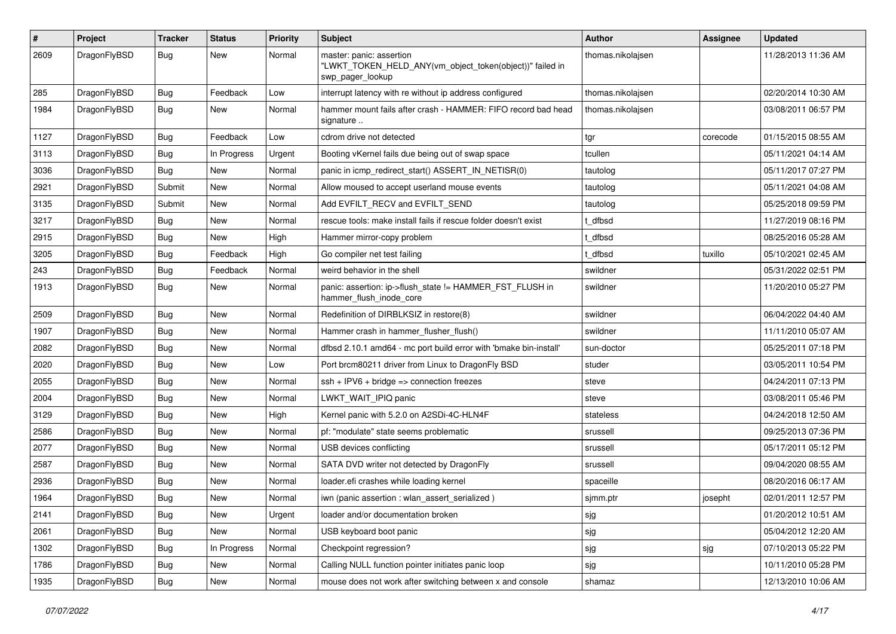| #    | Project      | <b>Tracker</b> | <b>Status</b> | <b>Priority</b> | Subject                                                                                                  | <b>Author</b>     | <b>Assignee</b> | <b>Updated</b>      |
|------|--------------|----------------|---------------|-----------------|----------------------------------------------------------------------------------------------------------|-------------------|-----------------|---------------------|
| 2609 | DragonFlyBSD | Bug            | New           | Normal          | master: panic: assertion<br>"LWKT_TOKEN_HELD_ANY(vm_object_token(object))" failed in<br>swp_pager_lookup | thomas.nikolajsen |                 | 11/28/2013 11:36 AM |
| 285  | DragonFlyBSD | <b>Bug</b>     | Feedback      | Low             | interrupt latency with re without ip address configured                                                  | thomas.nikolajsen |                 | 02/20/2014 10:30 AM |
| 1984 | DragonFlyBSD | <b>Bug</b>     | <b>New</b>    | Normal          | hammer mount fails after crash - HAMMER: FIFO record bad head<br>signature                               | thomas.nikolajsen |                 | 03/08/2011 06:57 PM |
| 1127 | DragonFlyBSD | Bug            | Feedback      | Low             | cdrom drive not detected                                                                                 | tgr               | corecode        | 01/15/2015 08:55 AM |
| 3113 | DragonFlyBSD | Bug            | In Progress   | Urgent          | Booting vKernel fails due being out of swap space                                                        | tcullen           |                 | 05/11/2021 04:14 AM |
| 3036 | DragonFlyBSD | <b>Bug</b>     | <b>New</b>    | Normal          | panic in icmp_redirect_start() ASSERT_IN_NETISR(0)                                                       | tautolog          |                 | 05/11/2017 07:27 PM |
| 2921 | DragonFlyBSD | Submit         | <b>New</b>    | Normal          | Allow moused to accept userland mouse events                                                             | tautolog          |                 | 05/11/2021 04:08 AM |
| 3135 | DragonFlyBSD | Submit         | New           | Normal          | Add EVFILT_RECV and EVFILT_SEND                                                                          | tautolog          |                 | 05/25/2018 09:59 PM |
| 3217 | DragonFlyBSD | Bug            | New           | Normal          | rescue tools: make install fails if rescue folder doesn't exist                                          | t dfbsd           |                 | 11/27/2019 08:16 PM |
| 2915 | DragonFlyBSD | <b>Bug</b>     | <b>New</b>    | High            | Hammer mirror-copy problem                                                                               | t dfbsd           |                 | 08/25/2016 05:28 AM |
| 3205 | DragonFlyBSD | <b>Bug</b>     | Feedback      | High            | Go compiler net test failing                                                                             | t_dfbsd           | tuxillo         | 05/10/2021 02:45 AM |
| 243  | DragonFlyBSD | <b>Bug</b>     | Feedback      | Normal          | weird behavior in the shell                                                                              | swildner          |                 | 05/31/2022 02:51 PM |
| 1913 | DragonFlyBSD | <b>Bug</b>     | New           | Normal          | panic: assertion: ip->flush_state != HAMMER_FST_FLUSH in<br>hammer_flush_inode_core                      | swildner          |                 | 11/20/2010 05:27 PM |
| 2509 | DragonFlyBSD | Bug            | <b>New</b>    | Normal          | Redefinition of DIRBLKSIZ in restore(8)                                                                  | swildner          |                 | 06/04/2022 04:40 AM |
| 1907 | DragonFlyBSD | <b>Bug</b>     | New           | Normal          | Hammer crash in hammer flusher flush()                                                                   | swildner          |                 | 11/11/2010 05:07 AM |
| 2082 | DragonFlyBSD | <b>Bug</b>     | <b>New</b>    | Normal          | dfbsd 2.10.1 amd64 - mc port build error with 'bmake bin-install'                                        | sun-doctor        |                 | 05/25/2011 07:18 PM |
| 2020 | DragonFlyBSD | <b>Bug</b>     | New           | Low             | Port brcm80211 driver from Linux to DragonFly BSD                                                        | studer            |                 | 03/05/2011 10:54 PM |
| 2055 | DragonFlyBSD | <b>Bug</b>     | New           | Normal          | ssh + IPV6 + bridge => connection freezes                                                                | steve             |                 | 04/24/2011 07:13 PM |
| 2004 | DragonFlyBSD | <b>Bug</b>     | <b>New</b>    | Normal          | LWKT_WAIT_IPIQ panic                                                                                     | steve             |                 | 03/08/2011 05:46 PM |
| 3129 | DragonFlyBSD | <b>Bug</b>     | <b>New</b>    | High            | Kernel panic with 5.2.0 on A2SDi-4C-HLN4F                                                                | stateless         |                 | 04/24/2018 12:50 AM |
| 2586 | DragonFlyBSD | <b>Bug</b>     | New           | Normal          | pf: "modulate" state seems problematic                                                                   | srussell          |                 | 09/25/2013 07:36 PM |
| 2077 | DragonFlyBSD | <b>Bug</b>     | <b>New</b>    | Normal          | USB devices conflicting                                                                                  | srussell          |                 | 05/17/2011 05:12 PM |
| 2587 | DragonFlyBSD | <b>Bug</b>     | New           | Normal          | SATA DVD writer not detected by DragonFly                                                                | srussell          |                 | 09/04/2020 08:55 AM |
| 2936 | DragonFlyBSD | <b>Bug</b>     | New           | Normal          | loader.efi crashes while loading kernel                                                                  | spaceille         |                 | 08/20/2016 06:17 AM |
| 1964 | DragonFlyBSD | <b>Bug</b>     | <b>New</b>    | Normal          | iwn (panic assertion : wlan assert serialized)                                                           | sjmm.ptr          | josepht         | 02/01/2011 12:57 PM |
| 2141 | DragonFlyBSD | <b>Bug</b>     | New           | Urgent          | loader and/or documentation broken                                                                       | sjg               |                 | 01/20/2012 10:51 AM |
| 2061 | DragonFlyBSD | <b>Bug</b>     | New           | Normal          | USB keyboard boot panic                                                                                  | sjg               |                 | 05/04/2012 12:20 AM |
| 1302 | DragonFlyBSD | <b>Bug</b>     | In Progress   | Normal          | Checkpoint regression?                                                                                   | sjg               | sjg             | 07/10/2013 05:22 PM |
| 1786 | DragonFlyBSD | <b>Bug</b>     | New           | Normal          | Calling NULL function pointer initiates panic loop                                                       | sjg               |                 | 10/11/2010 05:28 PM |
| 1935 | DragonFlyBSD | <b>Bug</b>     | New           | Normal          | mouse does not work after switching between x and console                                                | shamaz            |                 | 12/13/2010 10:06 AM |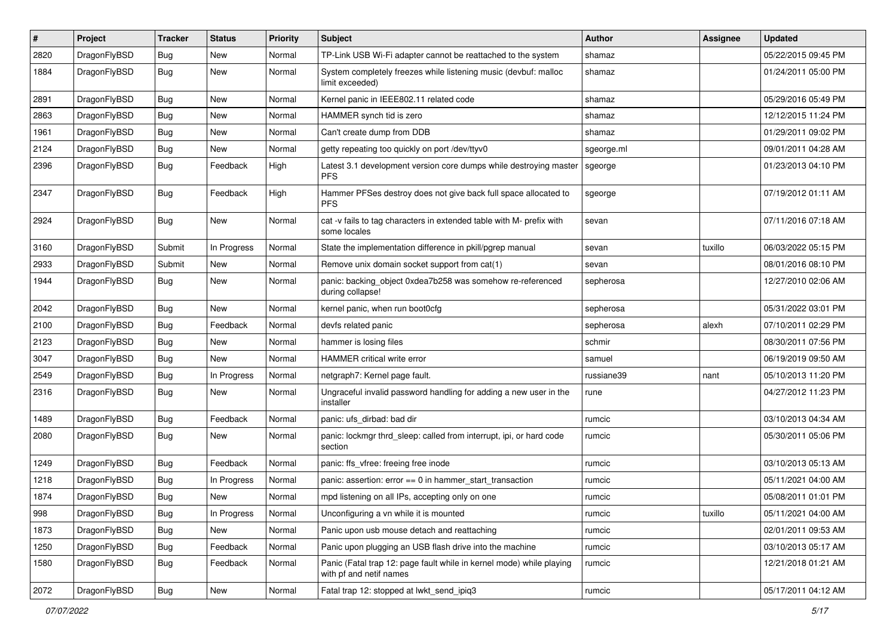| $\pmb{\#}$ | Project      | <b>Tracker</b> | <b>Status</b> | <b>Priority</b> | Subject                                                                                         | <b>Author</b> | Assignee | <b>Updated</b>      |
|------------|--------------|----------------|---------------|-----------------|-------------------------------------------------------------------------------------------------|---------------|----------|---------------------|
| 2820       | DragonFlyBSD | Bug            | New           | Normal          | TP-Link USB Wi-Fi adapter cannot be reattached to the system                                    | shamaz        |          | 05/22/2015 09:45 PM |
| 1884       | DragonFlyBSD | Bug            | New           | Normal          | System completely freezes while listening music (devbuf: malloc<br>limit exceeded)              | shamaz        |          | 01/24/2011 05:00 PM |
| 2891       | DragonFlyBSD | Bug            | <b>New</b>    | Normal          | Kernel panic in IEEE802.11 related code                                                         | shamaz        |          | 05/29/2016 05:49 PM |
| 2863       | DragonFlyBSD | Bug            | <b>New</b>    | Normal          | HAMMER synch tid is zero                                                                        | shamaz        |          | 12/12/2015 11:24 PM |
| 1961       | DragonFlyBSD | Bug            | New           | Normal          | Can't create dump from DDB                                                                      | shamaz        |          | 01/29/2011 09:02 PM |
| 2124       | DragonFlyBSD | Bug            | New           | Normal          | getty repeating too quickly on port /dev/ttyv0                                                  | sgeorge.ml    |          | 09/01/2011 04:28 AM |
| 2396       | DragonFlyBSD | Bug            | Feedback      | High            | Latest 3.1 development version core dumps while destroying master<br><b>PFS</b>                 | sgeorge       |          | 01/23/2013 04:10 PM |
| 2347       | DragonFlyBSD | Bug            | Feedback      | High            | Hammer PFSes destroy does not give back full space allocated to<br><b>PFS</b>                   | sgeorge       |          | 07/19/2012 01:11 AM |
| 2924       | DragonFlyBSD | Bug            | New           | Normal          | cat -v fails to tag characters in extended table with M- prefix with<br>some locales            | sevan         |          | 07/11/2016 07:18 AM |
| 3160       | DragonFlyBSD | Submit         | In Progress   | Normal          | State the implementation difference in pkill/pgrep manual                                       | sevan         | tuxillo  | 06/03/2022 05:15 PM |
| 2933       | DragonFlyBSD | Submit         | New           | Normal          | Remove unix domain socket support from cat(1)                                                   | sevan         |          | 08/01/2016 08:10 PM |
| 1944       | DragonFlyBSD | Bug            | New           | Normal          | panic: backing object 0xdea7b258 was somehow re-referenced<br>during collapse!                  | sepherosa     |          | 12/27/2010 02:06 AM |
| 2042       | DragonFlyBSD | <b>Bug</b>     | <b>New</b>    | Normal          | kernel panic, when run boot0cfg                                                                 | sepherosa     |          | 05/31/2022 03:01 PM |
| 2100       | DragonFlyBSD | Bug            | Feedback      | Normal          | devfs related panic                                                                             | sepherosa     | alexh    | 07/10/2011 02:29 PM |
| 2123       | DragonFlyBSD | <b>Bug</b>     | <b>New</b>    | Normal          | hammer is losing files                                                                          | schmir        |          | 08/30/2011 07:56 PM |
| 3047       | DragonFlyBSD | Bug            | New           | Normal          | HAMMER critical write error                                                                     | samuel        |          | 06/19/2019 09:50 AM |
| 2549       | DragonFlyBSD | Bug            | In Progress   | Normal          | netgraph7: Kernel page fault.                                                                   | russiane39    | nant     | 05/10/2013 11:20 PM |
| 2316       | DragonFlyBSD | Bug            | <b>New</b>    | Normal          | Ungraceful invalid password handling for adding a new user in the<br>installer                  | rune          |          | 04/27/2012 11:23 PM |
| 1489       | DragonFlyBSD | Bug            | Feedback      | Normal          | panic: ufs_dirbad: bad dir                                                                      | rumcic        |          | 03/10/2013 04:34 AM |
| 2080       | DragonFlyBSD | Bug            | New           | Normal          | panic: lockmgr thrd_sleep: called from interrupt, ipi, or hard code<br>section                  | rumcic        |          | 05/30/2011 05:06 PM |
| 1249       | DragonFlyBSD | Bug            | Feedback      | Normal          | panic: ffs_vfree: freeing free inode                                                            | rumcic        |          | 03/10/2013 05:13 AM |
| 1218       | DragonFlyBSD | Bug            | In Progress   | Normal          | panic: assertion: $error == 0$ in hammer start transaction                                      | rumcic        |          | 05/11/2021 04:00 AM |
| 1874       | DragonFlyBSD | <b>Bug</b>     | New           | Normal          | mpd listening on all IPs, accepting only on one                                                 | rumcic        |          | 05/08/2011 01:01 PM |
| 998        | DragonFlyBSD | <b>Bug</b>     | In Progress   | Normal          | Unconfiguring a vn while it is mounted                                                          | rumcic        | tuxillo  | 05/11/2021 04:00 AM |
| 1873       | DragonFlyBSD | <b>Bug</b>     | New           | Normal          | Panic upon usb mouse detach and reattaching                                                     | rumcic        |          | 02/01/2011 09:53 AM |
| 1250       | DragonFlyBSD | Bug            | Feedback      | Normal          | Panic upon plugging an USB flash drive into the machine                                         | rumcic        |          | 03/10/2013 05:17 AM |
| 1580       | DragonFlyBSD | Bug            | Feedback      | Normal          | Panic (Fatal trap 12: page fault while in kernel mode) while playing<br>with pf and netif names | rumcic        |          | 12/21/2018 01:21 AM |
| 2072       | DragonFlyBSD | <b>Bug</b>     | New           | Normal          | Fatal trap 12: stopped at lwkt_send_ipiq3                                                       | rumcic        |          | 05/17/2011 04:12 AM |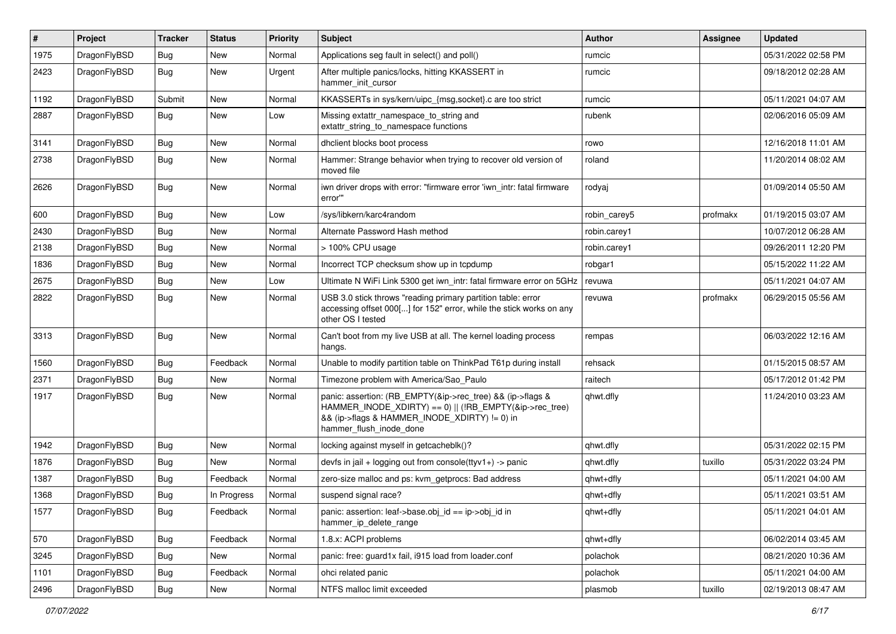| #    | Project      | <b>Tracker</b> | <b>Status</b> | <b>Priority</b> | Subject                                                                                                                                                                                           | <b>Author</b> | Assignee | <b>Updated</b>      |
|------|--------------|----------------|---------------|-----------------|---------------------------------------------------------------------------------------------------------------------------------------------------------------------------------------------------|---------------|----------|---------------------|
| 1975 | DragonFlyBSD | Bug            | <b>New</b>    | Normal          | Applications seg fault in select() and poll()                                                                                                                                                     | rumcic        |          | 05/31/2022 02:58 PM |
| 2423 | DragonFlyBSD | <b>Bug</b>     | New           | Urgent          | After multiple panics/locks, hitting KKASSERT in<br>hammer init cursor                                                                                                                            | rumcic        |          | 09/18/2012 02:28 AM |
| 1192 | DragonFlyBSD | Submit         | New           | Normal          | KKASSERTs in sys/kern/uipc_{msg,socket}.c are too strict                                                                                                                                          | rumcic        |          | 05/11/2021 04:07 AM |
| 2887 | DragonFlyBSD | Bug            | New           | Low             | Missing extattr_namespace_to_string and<br>extattr_string_to_namespace functions                                                                                                                  | rubenk        |          | 02/06/2016 05:09 AM |
| 3141 | DragonFlyBSD | Bug            | <b>New</b>    | Normal          | dhclient blocks boot process                                                                                                                                                                      | rowo          |          | 12/16/2018 11:01 AM |
| 2738 | DragonFlyBSD | Bug            | <b>New</b>    | Normal          | Hammer: Strange behavior when trying to recover old version of<br>moved file                                                                                                                      | roland        |          | 11/20/2014 08:02 AM |
| 2626 | DragonFlyBSD | Bug            | New           | Normal          | iwn driver drops with error: "firmware error 'iwn_intr: fatal firmware<br>error"                                                                                                                  | rodyaj        |          | 01/09/2014 05:50 AM |
| 600  | DragonFlyBSD | Bug            | New           | Low             | /sys/libkern/karc4random                                                                                                                                                                          | robin carey5  | profmakx | 01/19/2015 03:07 AM |
| 2430 | DragonFlyBSD | Bug            | New           | Normal          | Alternate Password Hash method                                                                                                                                                                    | robin.carey1  |          | 10/07/2012 06:28 AM |
| 2138 | DragonFlyBSD | Bug            | New           | Normal          | > 100% CPU usage                                                                                                                                                                                  | robin.carey1  |          | 09/26/2011 12:20 PM |
| 1836 | DragonFlyBSD | Bug            | New           | Normal          | Incorrect TCP checksum show up in tcpdump                                                                                                                                                         | robgar1       |          | 05/15/2022 11:22 AM |
| 2675 | DragonFlyBSD | Bug            | New           | Low             | Ultimate N WiFi Link 5300 get iwn intr: fatal firmware error on 5GHz                                                                                                                              | revuwa        |          | 05/11/2021 04:07 AM |
| 2822 | DragonFlyBSD | Bug            | New           | Normal          | USB 3.0 stick throws "reading primary partition table: error<br>accessing offset 000[] for 152" error, while the stick works on any<br>other OS I tested                                          | revuwa        | profmakx | 06/29/2015 05:56 AM |
| 3313 | DragonFlyBSD | Bug            | New           | Normal          | Can't boot from my live USB at all. The kernel loading process<br>hangs.                                                                                                                          | rempas        |          | 06/03/2022 12:16 AM |
| 1560 | DragonFlyBSD | Bug            | Feedback      | Normal          | Unable to modify partition table on ThinkPad T61p during install                                                                                                                                  | rehsack       |          | 01/15/2015 08:57 AM |
| 2371 | DragonFlyBSD | Bug            | <b>New</b>    | Normal          | Timezone problem with America/Sao Paulo                                                                                                                                                           | raitech       |          | 05/17/2012 01:42 PM |
| 1917 | DragonFlyBSD | Bug            | New           | Normal          | panic: assertion: (RB_EMPTY(&ip->rec_tree) && (ip->flags &<br>HAMMER_INODE_XDIRTY) == 0)    (!RB_EMPTY(&ip->rec_tree)<br>&& (ip->flags & HAMMER_INODE_XDIRTY) != 0) in<br>hammer_flush_inode_done | qhwt.dfly     |          | 11/24/2010 03:23 AM |
| 1942 | DragonFlyBSD | Bug            | New           | Normal          | locking against myself in getcacheblk()?                                                                                                                                                          | qhwt.dfly     |          | 05/31/2022 02:15 PM |
| 1876 | DragonFlyBSD | Bug            | New           | Normal          | devfs in jail + logging out from console(ttyv1+) -> panic                                                                                                                                         | qhwt.dfly     | tuxillo  | 05/31/2022 03:24 PM |
| 1387 | DragonFlyBSD | Bug            | Feedback      | Normal          | zero-size malloc and ps: kvm_getprocs: Bad address                                                                                                                                                | qhwt+dfly     |          | 05/11/2021 04:00 AM |
| 1368 | DragonFlyBSD | Bug            | In Progress   | Normal          | suspend signal race?                                                                                                                                                                              | qhwt+dfly     |          | 05/11/2021 03:51 AM |
| 1577 | DragonFlyBSD | <b>Bug</b>     | Feedback      | Normal          | panic: assertion: leaf->base.obj_id == ip->obj_id in<br>hammer ip delete range                                                                                                                    | qhwt+dfly     |          | 05/11/2021 04:01 AM |
| 570  | DragonFlyBSD | <b>Bug</b>     | Feedback      | Normal          | 1.8.x: ACPI problems                                                                                                                                                                              | qhwt+dfly     |          | 06/02/2014 03:45 AM |
| 3245 | DragonFlyBSD | <b>Bug</b>     | New           | Normal          | panic: free: guard1x fail, i915 load from loader.conf                                                                                                                                             | polachok      |          | 08/21/2020 10:36 AM |
| 1101 | DragonFlyBSD | <b>Bug</b>     | Feedback      | Normal          | ohci related panic                                                                                                                                                                                | polachok      |          | 05/11/2021 04:00 AM |
| 2496 | DragonFlyBSD | <b>Bug</b>     | New           | Normal          | NTFS malloc limit exceeded                                                                                                                                                                        | plasmob       | tuxillo  | 02/19/2013 08:47 AM |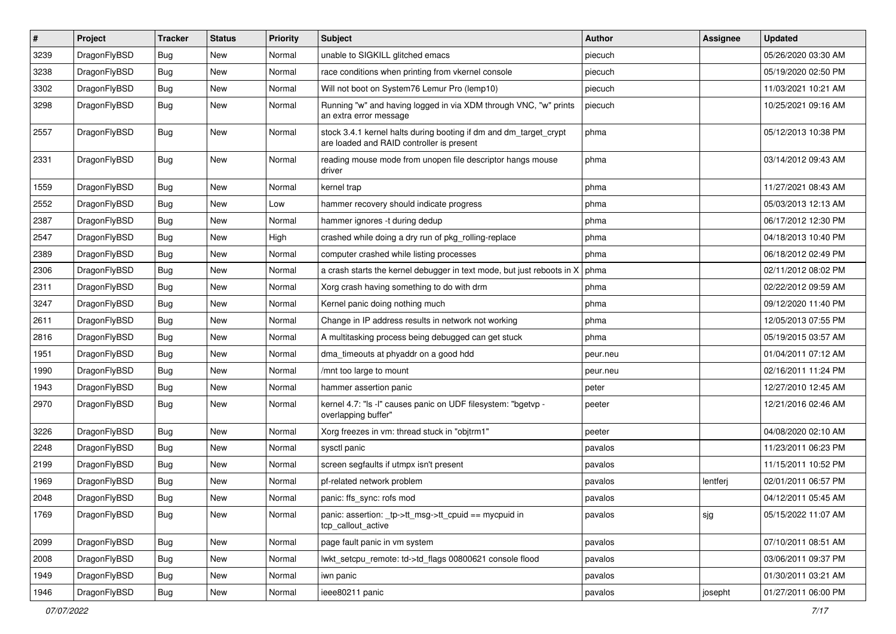| $\sharp$ | Project      | <b>Tracker</b> | <b>Status</b> | <b>Priority</b> | Subject                                                                                                        | <b>Author</b> | Assignee | <b>Updated</b>      |
|----------|--------------|----------------|---------------|-----------------|----------------------------------------------------------------------------------------------------------------|---------------|----------|---------------------|
| 3239     | DragonFlyBSD | Bug            | New           | Normal          | unable to SIGKILL glitched emacs                                                                               | piecuch       |          | 05/26/2020 03:30 AM |
| 3238     | DragonFlyBSD | Bug            | New           | Normal          | race conditions when printing from vkernel console                                                             | piecuch       |          | 05/19/2020 02:50 PM |
| 3302     | DragonFlyBSD | <b>Bug</b>     | New           | Normal          | Will not boot on System76 Lemur Pro (lemp10)                                                                   | piecuch       |          | 11/03/2021 10:21 AM |
| 3298     | DragonFlyBSD | Bug            | New           | Normal          | Running "w" and having logged in via XDM through VNC, "w" prints<br>an extra error message                     | piecuch       |          | 10/25/2021 09:16 AM |
| 2557     | DragonFlyBSD | <b>Bug</b>     | New           | Normal          | stock 3.4.1 kernel halts during booting if dm and dm_target_crypt<br>are loaded and RAID controller is present | phma          |          | 05/12/2013 10:38 PM |
| 2331     | DragonFlyBSD | Bug            | <b>New</b>    | Normal          | reading mouse mode from unopen file descriptor hangs mouse<br>driver                                           | phma          |          | 03/14/2012 09:43 AM |
| 1559     | DragonFlyBSD | Bug            | New           | Normal          | kernel trap                                                                                                    | phma          |          | 11/27/2021 08:43 AM |
| 2552     | DragonFlyBSD | Bug            | <b>New</b>    | Low             | hammer recovery should indicate progress                                                                       | phma          |          | 05/03/2013 12:13 AM |
| 2387     | DragonFlyBSD | <b>Bug</b>     | New           | Normal          | hammer ignores -t during dedup                                                                                 | phma          |          | 06/17/2012 12:30 PM |
| 2547     | DragonFlyBSD | Bug            | <b>New</b>    | High            | crashed while doing a dry run of pkg rolling-replace                                                           | phma          |          | 04/18/2013 10:40 PM |
| 2389     | DragonFlyBSD | <b>Bug</b>     | New           | Normal          | computer crashed while listing processes                                                                       | phma          |          | 06/18/2012 02:49 PM |
| 2306     | DragonFlyBSD | Bug            | New           | Normal          | a crash starts the kernel debugger in text mode, but just reboots in X                                         | phma          |          | 02/11/2012 08:02 PM |
| 2311     | DragonFlyBSD | <b>Bug</b>     | <b>New</b>    | Normal          | Xorg crash having something to do with drm                                                                     | phma          |          | 02/22/2012 09:59 AM |
| 3247     | DragonFlyBSD | Bug            | New           | Normal          | Kernel panic doing nothing much                                                                                | phma          |          | 09/12/2020 11:40 PM |
| 2611     | DragonFlyBSD | Bug            | <b>New</b>    | Normal          | Change in IP address results in network not working                                                            | phma          |          | 12/05/2013 07:55 PM |
| 2816     | DragonFlyBSD | Bug            | New           | Normal          | A multitasking process being debugged can get stuck                                                            | phma          |          | 05/19/2015 03:57 AM |
| 1951     | DragonFlyBSD | Bug            | <b>New</b>    | Normal          | dma_timeouts at phyaddr on a good hdd                                                                          | peur.neu      |          | 01/04/2011 07:12 AM |
| 1990     | DragonFlyBSD | Bug            | New           | Normal          | /mnt too large to mount                                                                                        | peur.neu      |          | 02/16/2011 11:24 PM |
| 1943     | DragonFlyBSD | Bug            | New           | Normal          | hammer assertion panic                                                                                         | peter         |          | 12/27/2010 12:45 AM |
| 2970     | DragonFlyBSD | Bug            | New           | Normal          | kernel 4.7: "Is -I" causes panic on UDF filesystem: "bgetvp -<br>overlapping buffer"                           | peeter        |          | 12/21/2016 02:46 AM |
| 3226     | DragonFlyBSD | Bug            | New           | Normal          | Xorg freezes in vm: thread stuck in "objtrm1"                                                                  | peeter        |          | 04/08/2020 02:10 AM |
| 2248     | DragonFlyBSD | Bug            | New           | Normal          | sysctl panic                                                                                                   | pavalos       |          | 11/23/2011 06:23 PM |
| 2199     | DragonFlyBSD | <b>Bug</b>     | New           | Normal          | screen segfaults if utmpx isn't present                                                                        | pavalos       |          | 11/15/2011 10:52 PM |
| 1969     | DragonFlyBSD | Bug            | <b>New</b>    | Normal          | pf-related network problem                                                                                     | pavalos       | lentferj | 02/01/2011 06:57 PM |
| 2048     | DragonFlyBSD | <b>Bug</b>     | New           | Normal          | panic: ffs_sync: rofs mod                                                                                      | pavalos       |          | 04/12/2011 05:45 AM |
| 1769     | DragonFlyBSD | <b>Bug</b>     | New           | Normal          | panic: assertion: _tp->tt_msg->tt_cpuid == mycpuid in<br>tcp callout active                                    | pavalos       | sjg      | 05/15/2022 11:07 AM |
| 2099     | DragonFlyBSD | <b>Bug</b>     | New           | Normal          | page fault panic in vm system                                                                                  | pavalos       |          | 07/10/2011 08:51 AM |
| 2008     | DragonFlyBSD | <b>Bug</b>     | New           | Normal          | lwkt_setcpu_remote: td->td_flags 00800621 console flood                                                        | pavalos       |          | 03/06/2011 09:37 PM |
| 1949     | DragonFlyBSD | <b>Bug</b>     | <b>New</b>    | Normal          | iwn panic                                                                                                      | pavalos       |          | 01/30/2011 03:21 AM |
| 1946     | DragonFlyBSD | <b>Bug</b>     | New           | Normal          | ieee80211 panic                                                                                                | pavalos       | josepht  | 01/27/2011 06:00 PM |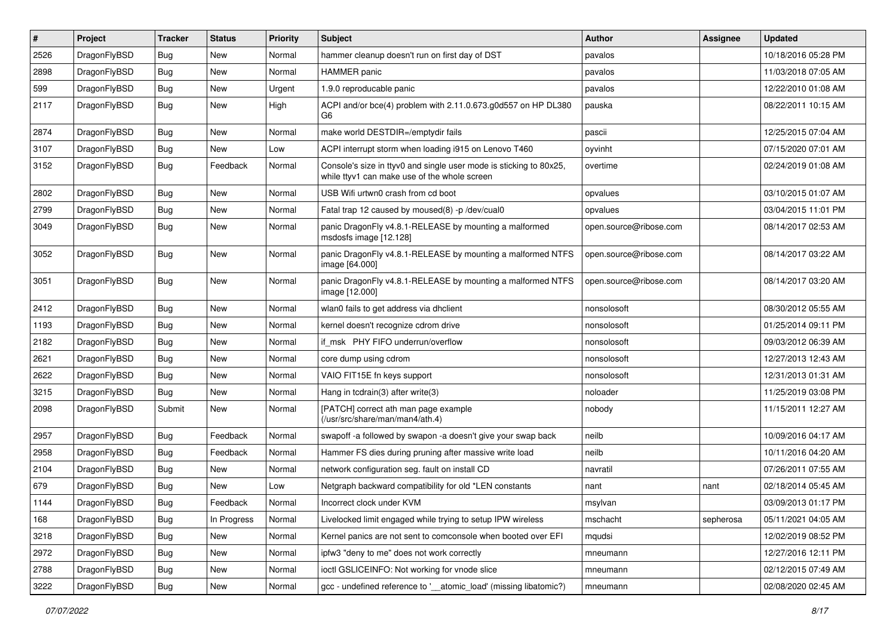| ∦    | Project      | <b>Tracker</b> | <b>Status</b> | <b>Priority</b> | Subject                                                                                                            | <b>Author</b>          | Assignee  | <b>Updated</b>      |
|------|--------------|----------------|---------------|-----------------|--------------------------------------------------------------------------------------------------------------------|------------------------|-----------|---------------------|
| 2526 | DragonFlyBSD | Bug            | <b>New</b>    | Normal          | hammer cleanup doesn't run on first day of DST                                                                     | pavalos                |           | 10/18/2016 05:28 PM |
| 2898 | DragonFlyBSD | <b>Bug</b>     | <b>New</b>    | Normal          | <b>HAMMER</b> panic                                                                                                | pavalos                |           | 11/03/2018 07:05 AM |
| 599  | DragonFlyBSD | Bug            | <b>New</b>    | Urgent          | 1.9.0 reproducable panic                                                                                           | pavalos                |           | 12/22/2010 01:08 AM |
| 2117 | DragonFlyBSD | Bug            | <b>New</b>    | High            | ACPI and/or bce(4) problem with 2.11.0.673.g0d557 on HP DL380<br>G6                                                | pauska                 |           | 08/22/2011 10:15 AM |
| 2874 | DragonFlyBSD | Bug            | New           | Normal          | make world DESTDIR=/emptydir fails                                                                                 | pascii                 |           | 12/25/2015 07:04 AM |
| 3107 | DragonFlyBSD | Bug            | New           | Low             | ACPI interrupt storm when loading i915 on Lenovo T460                                                              | oyvinht                |           | 07/15/2020 07:01 AM |
| 3152 | DragonFlyBSD | <b>Bug</b>     | Feedback      | Normal          | Console's size in ttyv0 and single user mode is sticking to 80x25,<br>while ttyv1 can make use of the whole screen | overtime               |           | 02/24/2019 01:08 AM |
| 2802 | DragonFlyBSD | Bug            | <b>New</b>    | Normal          | USB Wifi urtwn0 crash from cd boot                                                                                 | opvalues               |           | 03/10/2015 01:07 AM |
| 2799 | DragonFlyBSD | <b>Bug</b>     | <b>New</b>    | Normal          | Fatal trap 12 caused by moused(8) -p /dev/cual0                                                                    | opvalues               |           | 03/04/2015 11:01 PM |
| 3049 | DragonFlyBSD | <b>Bug</b>     | <b>New</b>    | Normal          | panic DragonFly v4.8.1-RELEASE by mounting a malformed<br>msdosfs image [12.128]                                   | open.source@ribose.com |           | 08/14/2017 02:53 AM |
| 3052 | DragonFlyBSD | <b>Bug</b>     | New           | Normal          | panic DragonFly v4.8.1-RELEASE by mounting a malformed NTFS<br>image [64.000]                                      | open.source@ribose.com |           | 08/14/2017 03:22 AM |
| 3051 | DragonFlyBSD | Bug            | New           | Normal          | panic DragonFly v4.8.1-RELEASE by mounting a malformed NTFS<br>image [12.000]                                      | open.source@ribose.com |           | 08/14/2017 03:20 AM |
| 2412 | DragonFlyBSD | Bug            | <b>New</b>    | Normal          | wlan0 fails to get address via dhclient                                                                            | nonsolosoft            |           | 08/30/2012 05:55 AM |
| 1193 | DragonFlyBSD | <b>Bug</b>     | <b>New</b>    | Normal          | kernel doesn't recognize cdrom drive                                                                               | nonsolosoft            |           | 01/25/2014 09:11 PM |
| 2182 | DragonFlyBSD | Bug            | <b>New</b>    | Normal          | if msk PHY FIFO underrun/overflow                                                                                  | nonsolosoft            |           | 09/03/2012 06:39 AM |
| 2621 | DragonFlyBSD | Bug            | <b>New</b>    | Normal          | core dump using cdrom                                                                                              | nonsolosoft            |           | 12/27/2013 12:43 AM |
| 2622 | DragonFlyBSD | <b>Bug</b>     | <b>New</b>    | Normal          | VAIO FIT15E fn keys support                                                                                        | nonsolosoft            |           | 12/31/2013 01:31 AM |
| 3215 | DragonFlyBSD | Bug            | <b>New</b>    | Normal          | Hang in tcdrain(3) after write(3)                                                                                  | noloader               |           | 11/25/2019 03:08 PM |
| 2098 | DragonFlyBSD | Submit         | New           | Normal          | [PATCH] correct ath man page example<br>(/usr/src/share/man/man4/ath.4)                                            | nobody                 |           | 11/15/2011 12:27 AM |
| 2957 | DragonFlyBSD | Bug            | Feedback      | Normal          | swapoff -a followed by swapon -a doesn't give your swap back                                                       | neilb                  |           | 10/09/2016 04:17 AM |
| 2958 | DragonFlyBSD | <b>Bug</b>     | Feedback      | Normal          | Hammer FS dies during pruning after massive write load                                                             | neilb                  |           | 10/11/2016 04:20 AM |
| 2104 | DragonFlyBSD | Bug            | <b>New</b>    | Normal          | network configuration seg. fault on install CD                                                                     | navratil               |           | 07/26/2011 07:55 AM |
| 679  | DragonFlyBSD | Bug            | <b>New</b>    | Low             | Netgraph backward compatibility for old *LEN constants                                                             | nant                   | nant      | 02/18/2014 05:45 AM |
| 1144 | DragonFlyBSD | Bug            | Feedback      | Normal          | Incorrect clock under KVM                                                                                          | msylvan                |           | 03/09/2013 01:17 PM |
| 168  | DragonFlyBSD | Bug            | In Progress   | Normal          | Livelocked limit engaged while trying to setup IPW wireless                                                        | mschacht               | sepherosa | 05/11/2021 04:05 AM |
| 3218 | DragonFlyBSD | <b>Bug</b>     | New           | Normal          | Kernel panics are not sent to comconsole when booted over EFI                                                      | mqudsi                 |           | 12/02/2019 08:52 PM |
| 2972 | DragonFlyBSD | <b>Bug</b>     | New           | Normal          | ipfw3 "deny to me" does not work correctly                                                                         | mneumann               |           | 12/27/2016 12:11 PM |
| 2788 | DragonFlyBSD | <b>Bug</b>     | New           | Normal          | ioctl GSLICEINFO: Not working for vnode slice                                                                      | mneumann               |           | 02/12/2015 07:49 AM |
| 3222 | DragonFlyBSD | Bug            | New           | Normal          | gcc - undefined reference to '_atomic_load' (missing libatomic?)                                                   | mneumann               |           | 02/08/2020 02:45 AM |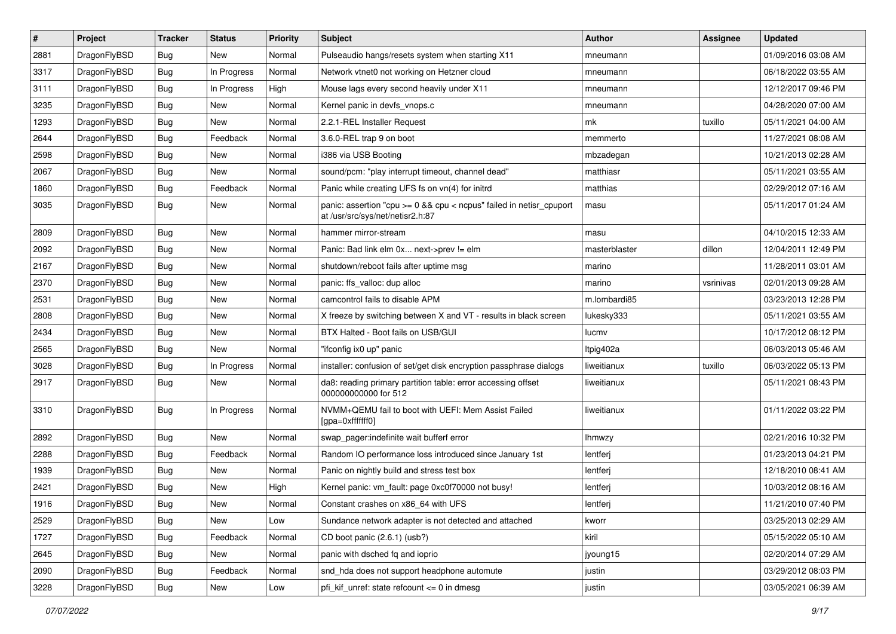| #    | Project      | <b>Tracker</b> | <b>Status</b> | <b>Priority</b> | Subject                                                                                                 | <b>Author</b> | Assignee  | <b>Updated</b>      |
|------|--------------|----------------|---------------|-----------------|---------------------------------------------------------------------------------------------------------|---------------|-----------|---------------------|
| 2881 | DragonFlyBSD | Bug            | New           | Normal          | Pulseaudio hangs/resets system when starting X11                                                        | mneumann      |           | 01/09/2016 03:08 AM |
| 3317 | DragonFlyBSD | Bug            | In Progress   | Normal          | Network vtnet0 not working on Hetzner cloud                                                             | mneumann      |           | 06/18/2022 03:55 AM |
| 3111 | DragonFlyBSD | Bug            | In Progress   | High            | Mouse lags every second heavily under X11                                                               | mneumann      |           | 12/12/2017 09:46 PM |
| 3235 | DragonFlyBSD | Bug            | New           | Normal          | Kernel panic in devfs_vnops.c                                                                           | mneumann      |           | 04/28/2020 07:00 AM |
| 1293 | DragonFlyBSD | Bug            | <b>New</b>    | Normal          | 2.2.1-REL Installer Request                                                                             | mk            | tuxillo   | 05/11/2021 04:00 AM |
| 2644 | DragonFlyBSD | Bug            | Feedback      | Normal          | 3.6.0-REL trap 9 on boot                                                                                | memmerto      |           | 11/27/2021 08:08 AM |
| 2598 | DragonFlyBSD | Bug            | <b>New</b>    | Normal          | i386 via USB Booting                                                                                    | mbzadegan     |           | 10/21/2013 02:28 AM |
| 2067 | DragonFlyBSD | Bug            | New           | Normal          | sound/pcm: "play interrupt timeout, channel dead"                                                       | matthiasr     |           | 05/11/2021 03:55 AM |
| 1860 | DragonFlyBSD | Bug            | Feedback      | Normal          | Panic while creating UFS fs on vn(4) for initrd                                                         | matthias      |           | 02/29/2012 07:16 AM |
| 3035 | DragonFlyBSD | Bug            | New           | Normal          | panic: assertion "cpu >= 0 && cpu < ncpus" failed in netisr_cpuport<br>at /usr/src/sys/net/netisr2.h:87 | masu          |           | 05/11/2017 01:24 AM |
| 2809 | DragonFlyBSD | Bug            | <b>New</b>    | Normal          | hammer mirror-stream                                                                                    | masu          |           | 04/10/2015 12:33 AM |
| 2092 | DragonFlyBSD | Bug            | New           | Normal          | Panic: Bad link elm 0x next->prev != elm                                                                | masterblaster | dillon    | 12/04/2011 12:49 PM |
| 2167 | DragonFlyBSD | Bug            | New           | Normal          | shutdown/reboot fails after uptime msg                                                                  | marino        |           | 11/28/2011 03:01 AM |
| 2370 | DragonFlyBSD | Bug            | New           | Normal          | panic: ffs_valloc: dup alloc                                                                            | marino        | vsrinivas | 02/01/2013 09:28 AM |
| 2531 | DragonFlyBSD | Bug            | <b>New</b>    | Normal          | camcontrol fails to disable APM                                                                         | m.lombardi85  |           | 03/23/2013 12:28 PM |
| 2808 | DragonFlyBSD | Bug            | New           | Normal          | X freeze by switching between X and VT - results in black screen                                        | lukesky333    |           | 05/11/2021 03:55 AM |
| 2434 | DragonFlyBSD | Bug            | New           | Normal          | BTX Halted - Boot fails on USB/GUI                                                                      | lucmv         |           | 10/17/2012 08:12 PM |
| 2565 | DragonFlyBSD | Bug            | New           | Normal          | "ifconfig ix0 up" panic                                                                                 | Itpig402a     |           | 06/03/2013 05:46 AM |
| 3028 | DragonFlyBSD | Bug            | In Progress   | Normal          | installer: confusion of set/get disk encryption passphrase dialogs                                      | liweitianux   | tuxillo   | 06/03/2022 05:13 PM |
| 2917 | DragonFlyBSD | Bug            | New           | Normal          | da8: reading primary partition table: error accessing offset<br>000000000000 for 512                    | liweitianux   |           | 05/11/2021 08:43 PM |
| 3310 | DragonFlyBSD | <b>Bug</b>     | In Progress   | Normal          | NVMM+QEMU fail to boot with UEFI: Mem Assist Failed<br>[gpa=0xfffffff0]                                 | liweitianux   |           | 01/11/2022 03:22 PM |
| 2892 | DragonFlyBSD | Bug            | <b>New</b>    | Normal          | swap pager:indefinite wait bufferf error                                                                | <b>Ihmwzy</b> |           | 02/21/2016 10:32 PM |
| 2288 | DragonFlyBSD | Bug            | Feedback      | Normal          | Random IO performance loss introduced since January 1st                                                 | lentferj      |           | 01/23/2013 04:21 PM |
| 1939 | DragonFlyBSD | Bug            | New           | Normal          | Panic on nightly build and stress test box                                                              | lentferj      |           | 12/18/2010 08:41 AM |
| 2421 | DragonFlyBSD | Bug            | New           | High            | Kernel panic: vm_fault: page 0xc0f70000 not busy!                                                       | lentferj      |           | 10/03/2012 08:16 AM |
| 1916 | DragonFlyBSD | Bug            | <b>New</b>    | Normal          | Constant crashes on x86 64 with UFS                                                                     | lentferj      |           | 11/21/2010 07:40 PM |
| 2529 | DragonFlyBSD | <b>Bug</b>     | <b>New</b>    | Low             | Sundance network adapter is not detected and attached                                                   | kworr         |           | 03/25/2013 02:29 AM |
| 1727 | DragonFlyBSD | Bug            | Feedback      | Normal          | CD boot panic (2.6.1) (usb?)                                                                            | kiril         |           | 05/15/2022 05:10 AM |
| 2645 | DragonFlyBSD | Bug            | New           | Normal          | panic with dsched fq and ioprio                                                                         | jyoung15      |           | 02/20/2014 07:29 AM |
| 2090 | DragonFlyBSD | Bug            | Feedback      | Normal          | snd_hda does not support headphone automute                                                             | justin        |           | 03/29/2012 08:03 PM |
| 3228 | DragonFlyBSD | <b>Bug</b>     | New           | Low             | pfi_kif_unref: state refcount <= 0 in dmesg                                                             | justin        |           | 03/05/2021 06:39 AM |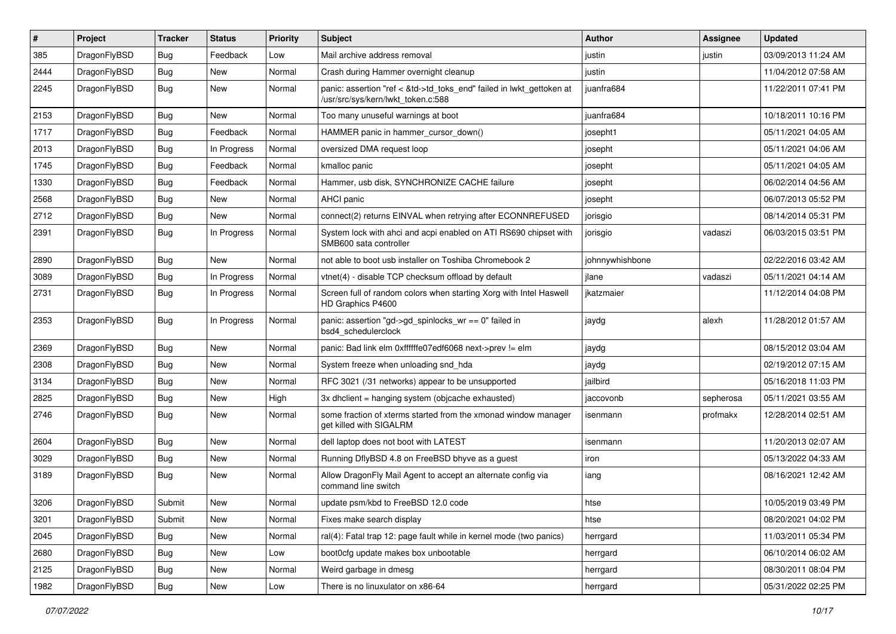| $\pmb{\#}$ | Project      | <b>Tracker</b> | <b>Status</b> | <b>Priority</b> | Subject                                                                                                    | Author          | Assignee  | <b>Updated</b>      |
|------------|--------------|----------------|---------------|-----------------|------------------------------------------------------------------------------------------------------------|-----------------|-----------|---------------------|
| 385        | DragonFlyBSD | Bug            | Feedback      | Low             | Mail archive address removal                                                                               | justin          | justin    | 03/09/2013 11:24 AM |
| 2444       | DragonFlyBSD | Bug            | <b>New</b>    | Normal          | Crash during Hammer overnight cleanup                                                                      | justin          |           | 11/04/2012 07:58 AM |
| 2245       | DragonFlyBSD | Bug            | New           | Normal          | panic: assertion "ref < &td->td_toks_end" failed in lwkt_gettoken at<br>/usr/src/sys/kern/lwkt_token.c:588 | juanfra684      |           | 11/22/2011 07:41 PM |
| 2153       | DragonFlyBSD | <b>Bug</b>     | <b>New</b>    | Normal          | Too many unuseful warnings at boot                                                                         | juanfra684      |           | 10/18/2011 10:16 PM |
| 1717       | DragonFlyBSD | <b>Bug</b>     | Feedback      | Normal          | HAMMER panic in hammer cursor down()                                                                       | josepht1        |           | 05/11/2021 04:05 AM |
| 2013       | DragonFlyBSD | Bug            | In Progress   | Normal          | oversized DMA request loop                                                                                 | josepht         |           | 05/11/2021 04:06 AM |
| 1745       | DragonFlyBSD | Bug            | Feedback      | Normal          | kmalloc panic                                                                                              | josepht         |           | 05/11/2021 04:05 AM |
| 1330       | DragonFlyBSD | Bug            | Feedback      | Normal          | Hammer, usb disk, SYNCHRONIZE CACHE failure                                                                | josepht         |           | 06/02/2014 04:56 AM |
| 2568       | DragonFlyBSD | Bug            | <b>New</b>    | Normal          | AHCI panic                                                                                                 | josepht         |           | 06/07/2013 05:52 PM |
| 2712       | DragonFlyBSD | <b>Bug</b>     | New           | Normal          | connect(2) returns EINVAL when retrying after ECONNREFUSED                                                 | jorisgio        |           | 08/14/2014 05:31 PM |
| 2391       | DragonFlyBSD | Bug            | In Progress   | Normal          | System lock with ahci and acpi enabled on ATI RS690 chipset with<br>SMB600 sata controller                 | jorisgio        | vadaszi   | 06/03/2015 03:51 PM |
| 2890       | DragonFlyBSD | Bug            | <b>New</b>    | Normal          | not able to boot usb installer on Toshiba Chromebook 2                                                     | johnnywhishbone |           | 02/22/2016 03:42 AM |
| 3089       | DragonFlyBSD | Bug            | In Progress   | Normal          | vtnet(4) - disable TCP checksum offload by default                                                         | ilane           | vadaszi   | 05/11/2021 04:14 AM |
| 2731       | DragonFlyBSD | <b>Bug</b>     | In Progress   | Normal          | Screen full of random colors when starting Xorg with Intel Haswell<br>HD Graphics P4600                    | jkatzmaier      |           | 11/12/2014 04:08 PM |
| 2353       | DragonFlyBSD | Bug            | In Progress   | Normal          | panic: assertion "gd->gd_spinlocks_wr == 0" failed in<br>bsd4_schedulerclock                               | jaydg           | alexh     | 11/28/2012 01:57 AM |
| 2369       | DragonFlyBSD | Bug            | <b>New</b>    | Normal          | panic: Bad link elm 0xffffffe07edf6068 next->prev != elm                                                   | jaydg           |           | 08/15/2012 03:04 AM |
| 2308       | DragonFlyBSD | <b>Bug</b>     | <b>New</b>    | Normal          | System freeze when unloading snd_hda                                                                       | jaydg           |           | 02/19/2012 07:15 AM |
| 3134       | DragonFlyBSD | <b>Bug</b>     | <b>New</b>    | Normal          | RFC 3021 (/31 networks) appear to be unsupported                                                           | jailbird        |           | 05/16/2018 11:03 PM |
| 2825       | DragonFlyBSD | <b>Bug</b>     | <b>New</b>    | High            | 3x dhclient = hanging system (objcache exhausted)                                                          | jaccovonb       | sepherosa | 05/11/2021 03:55 AM |
| 2746       | DragonFlyBSD | Bug            | New           | Normal          | some fraction of xterms started from the xmonad window manager<br>get killed with SIGALRM                  | isenmann        | profmakx  | 12/28/2014 02:51 AM |
| 2604       | DragonFlyBSD | Bug            | <b>New</b>    | Normal          | dell laptop does not boot with LATEST                                                                      | isenmann        |           | 11/20/2013 02:07 AM |
| 3029       | DragonFlyBSD | <b>Bug</b>     | New           | Normal          | Running DflyBSD 4.8 on FreeBSD bhyve as a guest                                                            | iron            |           | 05/13/2022 04:33 AM |
| 3189       | DragonFlyBSD | Bug            | New           | Normal          | Allow DragonFly Mail Agent to accept an alternate config via<br>command line switch                        | iang            |           | 08/16/2021 12:42 AM |
| 3206       | DragonFlyBSD | Submit         | New           | Normal          | update psm/kbd to FreeBSD 12.0 code                                                                        | htse            |           | 10/05/2019 03:49 PM |
| 3201       | DragonFlyBSD | Submit         | <b>New</b>    | Normal          | Fixes make search display                                                                                  | htse            |           | 08/20/2021 04:02 PM |
| 2045       | DragonFlyBSD | <b>Bug</b>     | New           | Normal          | ral(4): Fatal trap 12: page fault while in kernel mode (two panics)                                        | herrgard        |           | 11/03/2011 05:34 PM |
| 2680       | DragonFlyBSD | <b>Bug</b>     | New           | Low             | boot0cfg update makes box unbootable                                                                       | herrgard        |           | 06/10/2014 06:02 AM |
| 2125       | DragonFlyBSD | Bug            | New           | Normal          | Weird garbage in dmesg                                                                                     | herrgard        |           | 08/30/2011 08:04 PM |
| 1982       | DragonFlyBSD | Bug            | New           | Low             | There is no linuxulator on x86-64                                                                          | herrgard        |           | 05/31/2022 02:25 PM |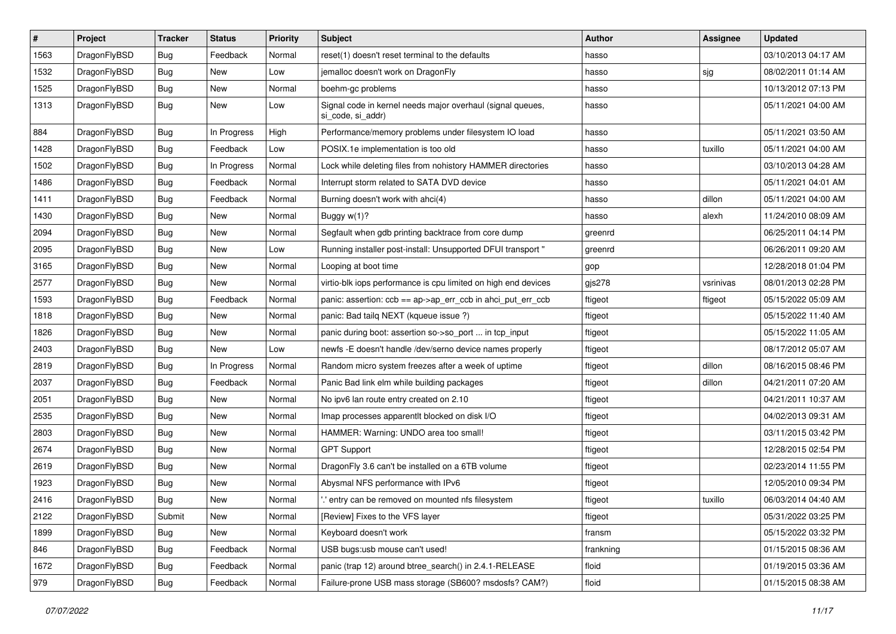| $\vert$ # | Project      | <b>Tracker</b> | <b>Status</b> | <b>Priority</b> | Subject                                                                         | <b>Author</b> | <b>Assignee</b> | <b>Updated</b>      |
|-----------|--------------|----------------|---------------|-----------------|---------------------------------------------------------------------------------|---------------|-----------------|---------------------|
| 1563      | DragonFlyBSD | <b>Bug</b>     | Feedback      | Normal          | reset(1) doesn't reset terminal to the defaults                                 | hasso         |                 | 03/10/2013 04:17 AM |
| 1532      | DragonFlyBSD | <b>Bug</b>     | <b>New</b>    | Low             | jemalloc doesn't work on DragonFly                                              | hasso         | sjg             | 08/02/2011 01:14 AM |
| 1525      | DragonFlyBSD | <b>Bug</b>     | <b>New</b>    | Normal          | boehm-gc problems                                                               | hasso         |                 | 10/13/2012 07:13 PM |
| 1313      | DragonFlyBSD | <b>Bug</b>     | New           | Low             | Signal code in kernel needs major overhaul (signal queues,<br>si code, si addr) | hasso         |                 | 05/11/2021 04:00 AM |
| 884       | DragonFlyBSD | Bug            | In Progress   | High            | Performance/memory problems under filesystem IO load                            | hasso         |                 | 05/11/2021 03:50 AM |
| 1428      | DragonFlyBSD | <b>Bug</b>     | Feedback      | Low             | POSIX.1e implementation is too old                                              | hasso         | tuxillo         | 05/11/2021 04:00 AM |
| 1502      | DragonFlyBSD | Bug            | In Progress   | Normal          | Lock while deleting files from nohistory HAMMER directories                     | hasso         |                 | 03/10/2013 04:28 AM |
| 1486      | DragonFlyBSD | <b>Bug</b>     | Feedback      | Normal          | Interrupt storm related to SATA DVD device                                      | hasso         |                 | 05/11/2021 04:01 AM |
| 1411      | DragonFlyBSD | Bug            | Feedback      | Normal          | Burning doesn't work with ahci(4)                                               | hasso         | dillon          | 05/11/2021 04:00 AM |
| 1430      | DragonFlyBSD | <b>Bug</b>     | <b>New</b>    | Normal          | Buggy $w(1)$ ?                                                                  | hasso         | alexh           | 11/24/2010 08:09 AM |
| 2094      | DragonFlyBSD | Bug            | <b>New</b>    | Normal          | Segfault when gdb printing backtrace from core dump                             | greenrd       |                 | 06/25/2011 04:14 PM |
| 2095      | DragonFlyBSD | <b>Bug</b>     | <b>New</b>    | Low             | Running installer post-install: Unsupported DFUI transport "                    | greenrd       |                 | 06/26/2011 09:20 AM |
| 3165      | DragonFlyBSD | <b>Bug</b>     | New           | Normal          | Looping at boot time                                                            | gop           |                 | 12/28/2018 01:04 PM |
| 2577      | DragonFlyBSD | <b>Bug</b>     | <b>New</b>    | Normal          | virtio-blk iops performance is cpu limited on high end devices                  | gjs278        | vsrinivas       | 08/01/2013 02:28 PM |
| 1593      | DragonFlyBSD | <b>Bug</b>     | Feedback      | Normal          | panic: assertion: ccb == ap->ap_err_ccb in ahci_put_err_ccb                     | ftigeot       | ftigeot         | 05/15/2022 05:09 AM |
| 1818      | DragonFlyBSD | <b>Bug</b>     | New           | Normal          | panic: Bad tailg NEXT (kqueue issue ?)                                          | ftigeot       |                 | 05/15/2022 11:40 AM |
| 1826      | DragonFlyBSD | Bug            | <b>New</b>    | Normal          | panic during boot: assertion so->so_port  in tcp_input                          | ftigeot       |                 | 05/15/2022 11:05 AM |
| 2403      | DragonFlyBSD | <b>Bug</b>     | New           | Low             | newfs -E doesn't handle /dev/serno device names properly                        | ftigeot       |                 | 08/17/2012 05:07 AM |
| 2819      | DragonFlyBSD | Bug            | In Progress   | Normal          | Random micro system freezes after a week of uptime                              | ftigeot       | dillon          | 08/16/2015 08:46 PM |
| 2037      | DragonFlyBSD | <b>Bug</b>     | Feedback      | Normal          | Panic Bad link elm while building packages                                      | ftigeot       | dillon          | 04/21/2011 07:20 AM |
| 2051      | DragonFlyBSD | <b>Bug</b>     | <b>New</b>    | Normal          | No ipv6 lan route entry created on 2.10                                         | ftigeot       |                 | 04/21/2011 10:37 AM |
| 2535      | DragonFlyBSD | <b>Bug</b>     | <b>New</b>    | Normal          | Imap processes apparentlt blocked on disk I/O                                   | ftigeot       |                 | 04/02/2013 09:31 AM |
| 2803      | DragonFlyBSD | <b>Bug</b>     | <b>New</b>    | Normal          | HAMMER: Warning: UNDO area too small!                                           | ftigeot       |                 | 03/11/2015 03:42 PM |
| 2674      | DragonFlyBSD | Bug            | <b>New</b>    | Normal          | <b>GPT Support</b>                                                              | ftigeot       |                 | 12/28/2015 02:54 PM |
| 2619      | DragonFlyBSD | <b>Bug</b>     | New           | Normal          | DragonFly 3.6 can't be installed on a 6TB volume                                | ftigeot       |                 | 02/23/2014 11:55 PM |
| 1923      | DragonFlyBSD | <b>Bug</b>     | New           | Normal          | Abysmal NFS performance with IPv6                                               | ftigeot       |                 | 12/05/2010 09:34 PM |
| 2416      | DragonFlyBSD | Bug            | <b>New</b>    | Normal          | ".' entry can be removed on mounted nfs filesystem                              | ftigeot       | tuxillo         | 06/03/2014 04:40 AM |
| 2122      | DragonFlyBSD | Submit         | New           | Normal          | [Review] Fixes to the VFS layer                                                 | ftigeot       |                 | 05/31/2022 03:25 PM |
| 1899      | DragonFlyBSD | <b>Bug</b>     | New           | Normal          | Keyboard doesn't work                                                           | fransm        |                 | 05/15/2022 03:32 PM |
| 846       | DragonFlyBSD | <b>Bug</b>     | Feedback      | Normal          | USB bugs:usb mouse can't used!                                                  | frankning     |                 | 01/15/2015 08:36 AM |
| 1672      | DragonFlyBSD | <b>Bug</b>     | Feedback      | Normal          | panic (trap 12) around btree_search() in 2.4.1-RELEASE                          | floid         |                 | 01/19/2015 03:36 AM |
| 979       | DragonFlyBSD | Bug            | Feedback      | Normal          | Failure-prone USB mass storage (SB600? msdosfs? CAM?)                           | floid         |                 | 01/15/2015 08:38 AM |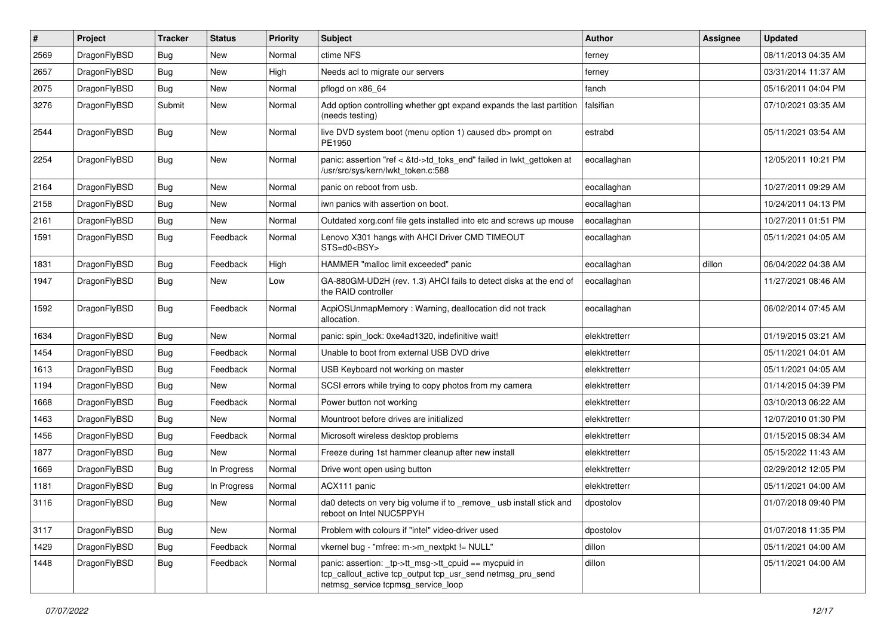| $\pmb{\#}$ | Project      | <b>Tracker</b> | <b>Status</b> | <b>Priority</b> | Subject                                                                                                                                                   | <b>Author</b> | <b>Assignee</b> | <b>Updated</b>      |
|------------|--------------|----------------|---------------|-----------------|-----------------------------------------------------------------------------------------------------------------------------------------------------------|---------------|-----------------|---------------------|
| 2569       | DragonFlyBSD | Bug            | <b>New</b>    | Normal          | ctime NFS                                                                                                                                                 | ferney        |                 | 08/11/2013 04:35 AM |
| 2657       | DragonFlyBSD | Bug            | <b>New</b>    | High            | Needs acl to migrate our servers                                                                                                                          | ferney        |                 | 03/31/2014 11:37 AM |
| 2075       | DragonFlyBSD | <b>Bug</b>     | <b>New</b>    | Normal          | pflogd on x86 64                                                                                                                                          | fanch         |                 | 05/16/2011 04:04 PM |
| 3276       | DragonFlyBSD | Submit         | <b>New</b>    | Normal          | Add option controlling whether gpt expand expands the last partition<br>(needs testing)                                                                   | falsifian     |                 | 07/10/2021 03:35 AM |
| 2544       | DragonFlyBSD | <b>Bug</b>     | New           | Normal          | live DVD system boot (menu option 1) caused db> prompt on<br>PE1950                                                                                       | estrabd       |                 | 05/11/2021 03:54 AM |
| 2254       | DragonFlyBSD | <b>Bug</b>     | New           | Normal          | panic: assertion "ref < &td->td_toks_end" failed in lwkt_gettoken at<br>/usr/src/sys/kern/lwkt_token.c:588                                                | eocallaghan   |                 | 12/05/2011 10:21 PM |
| 2164       | DragonFlyBSD | <b>Bug</b>     | <b>New</b>    | Normal          | panic on reboot from usb.                                                                                                                                 | eocallaghan   |                 | 10/27/2011 09:29 AM |
| 2158       | DragonFlyBSD | <b>Bug</b>     | <b>New</b>    | Normal          | iwn panics with assertion on boot.                                                                                                                        | eocallaghan   |                 | 10/24/2011 04:13 PM |
| 2161       | DragonFlyBSD | Bug            | New           | Normal          | Outdated xorg.conf file gets installed into etc and screws up mouse                                                                                       | eocallaghan   |                 | 10/27/2011 01:51 PM |
| 1591       | DragonFlyBSD | Bug            | Feedback      | Normal          | Lenovo X301 hangs with AHCI Driver CMD TIMEOUT<br>STS=d0 <bsy></bsy>                                                                                      | eocallaghan   |                 | 05/11/2021 04:05 AM |
| 1831       | DragonFlyBSD | Bug            | Feedback      | High            | HAMMER "malloc limit exceeded" panic                                                                                                                      | eocallaghan   | dillon          | 06/04/2022 04:38 AM |
| 1947       | DragonFlyBSD | <b>Bug</b>     | New           | Low             | GA-880GM-UD2H (rev. 1.3) AHCI fails to detect disks at the end of<br>the RAID controller                                                                  | eocallaghan   |                 | 11/27/2021 08:46 AM |
| 1592       | DragonFlyBSD | Bug            | Feedback      | Normal          | AcpiOSUnmapMemory: Warning, deallocation did not track<br>allocation.                                                                                     | eocallaghan   |                 | 06/02/2014 07:45 AM |
| 1634       | DragonFlyBSD | Bug            | New           | Normal          | panic: spin lock: 0xe4ad1320, indefinitive wait!                                                                                                          | elekktretterr |                 | 01/19/2015 03:21 AM |
| 1454       | DragonFlyBSD | <b>Bug</b>     | Feedback      | Normal          | Unable to boot from external USB DVD drive                                                                                                                | elekktretterr |                 | 05/11/2021 04:01 AM |
| 1613       | DragonFlyBSD | <b>Bug</b>     | Feedback      | Normal          | USB Keyboard not working on master                                                                                                                        | elekktretterr |                 | 05/11/2021 04:05 AM |
| 1194       | DragonFlyBSD | Bug            | <b>New</b>    | Normal          | SCSI errors while trying to copy photos from my camera                                                                                                    | elekktretterr |                 | 01/14/2015 04:39 PM |
| 1668       | DragonFlyBSD | <b>Bug</b>     | Feedback      | Normal          | Power button not working                                                                                                                                  | elekktretterr |                 | 03/10/2013 06:22 AM |
| 1463       | DragonFlyBSD | <b>Bug</b>     | <b>New</b>    | Normal          | Mountroot before drives are initialized                                                                                                                   | elekktretterr |                 | 12/07/2010 01:30 PM |
| 1456       | DragonFlyBSD | Bug            | Feedback      | Normal          | Microsoft wireless desktop problems                                                                                                                       | elekktretterr |                 | 01/15/2015 08:34 AM |
| 1877       | DragonFlyBSD | <b>Bug</b>     | New           | Normal          | Freeze during 1st hammer cleanup after new install                                                                                                        | elekktretterr |                 | 05/15/2022 11:43 AM |
| 1669       | DragonFlyBSD | Bug            | In Progress   | Normal          | Drive wont open using button                                                                                                                              | elekktretterr |                 | 02/29/2012 12:05 PM |
| 1181       | DragonFlyBSD | <b>Bug</b>     | In Progress   | Normal          | ACX111 panic                                                                                                                                              | elekktretterr |                 | 05/11/2021 04:00 AM |
| 3116       | DragonFlyBSD | Bug            | New           | Normal          | da0 detects on very big volume if to remove usb install stick and<br>reboot on Intel NUC5PPYH                                                             | dpostolov     |                 | 01/07/2018 09:40 PM |
| 3117       | DragonFlyBSD | <b>Bug</b>     | New           | Normal          | Problem with colours if "intel" video-driver used                                                                                                         | dpostolov     |                 | 01/07/2018 11:35 PM |
| 1429       | DragonFlyBSD | Bug            | Feedback      | Normal          | vkernel bug - "mfree: m->m_nextpkt != NULL"                                                                                                               | dillon        |                 | 05/11/2021 04:00 AM |
| 1448       | DragonFlyBSD | Bug            | Feedback      | Normal          | panic: assertion: _tp->tt_msg->tt_cpuid == mycpuid in<br>tcp callout active tcp output tcp usr send netmsg pru send<br>netmsg_service tcpmsg_service_loop | dillon        |                 | 05/11/2021 04:00 AM |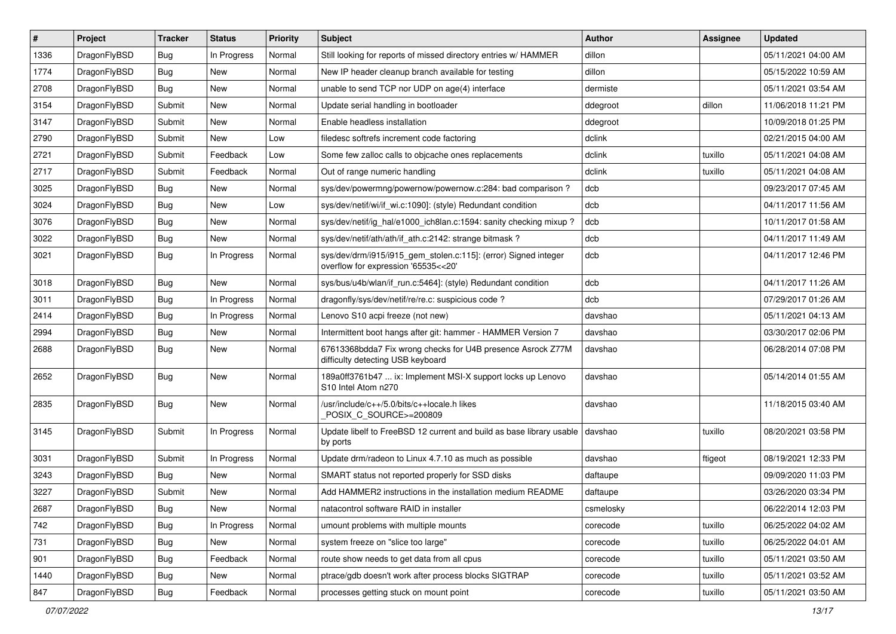| $\vert$ # | Project      | <b>Tracker</b> | <b>Status</b> | <b>Priority</b> | Subject                                                                                                | <b>Author</b> | Assignee | <b>Updated</b>      |
|-----------|--------------|----------------|---------------|-----------------|--------------------------------------------------------------------------------------------------------|---------------|----------|---------------------|
| 1336      | DragonFlyBSD | Bug            | In Progress   | Normal          | Still looking for reports of missed directory entries w/ HAMMER                                        | dillon        |          | 05/11/2021 04:00 AM |
| 1774      | DragonFlyBSD | Bug            | <b>New</b>    | Normal          | New IP header cleanup branch available for testing                                                     | dillon        |          | 05/15/2022 10:59 AM |
| 2708      | DragonFlyBSD | Bug            | New           | Normal          | unable to send TCP nor UDP on age(4) interface                                                         | dermiste      |          | 05/11/2021 03:54 AM |
| 3154      | DragonFlyBSD | Submit         | New           | Normal          | Update serial handling in bootloader                                                                   | ddegroot      | dillon   | 11/06/2018 11:21 PM |
| 3147      | DragonFlyBSD | Submit         | New           | Normal          | Enable headless installation                                                                           | ddegroot      |          | 10/09/2018 01:25 PM |
| 2790      | DragonFlyBSD | Submit         | <b>New</b>    | Low             | filedesc softrefs increment code factoring                                                             | dclink        |          | 02/21/2015 04:00 AM |
| 2721      | DragonFlyBSD | Submit         | Feedback      | Low             | Some few zalloc calls to objcache ones replacements                                                    | dclink        | tuxillo  | 05/11/2021 04:08 AM |
| 2717      | DragonFlyBSD | Submit         | Feedback      | Normal          | Out of range numeric handling                                                                          | dclink        | tuxillo  | 05/11/2021 04:08 AM |
| 3025      | DragonFlyBSD | Bug            | New           | Normal          | sys/dev/powermng/powernow/powernow.c:284: bad comparison?                                              | dcb           |          | 09/23/2017 07:45 AM |
| 3024      | DragonFlyBSD | Bug            | New           | Low             | sys/dev/netif/wi/if_wi.c:1090]: (style) Redundant condition                                            | dcb           |          | 04/11/2017 11:56 AM |
| 3076      | DragonFlyBSD | Bug            | New           | Normal          | sys/dev/netif/ig_hal/e1000_ich8lan.c:1594: sanity checking mixup ?                                     | dcb           |          | 10/11/2017 01:58 AM |
| 3022      | DragonFlyBSD | Bug            | New           | Normal          | sys/dev/netif/ath/ath/if ath.c:2142: strange bitmask?                                                  | dcb           |          | 04/11/2017 11:49 AM |
| 3021      | DragonFlyBSD | Bug            | In Progress   | Normal          | sys/dev/drm/i915/i915_gem_stolen.c:115]: (error) Signed integer<br>overflow for expression '65535<<20' | dcb           |          | 04/11/2017 12:46 PM |
| 3018      | DragonFlyBSD | Bug            | New           | Normal          | sys/bus/u4b/wlan/if_run.c:5464]: (style) Redundant condition                                           | dcb           |          | 04/11/2017 11:26 AM |
| 3011      | DragonFlyBSD | Bug            | In Progress   | Normal          | dragonfly/sys/dev/netif/re/re.c: suspicious code ?                                                     | dcb           |          | 07/29/2017 01:26 AM |
| 2414      | DragonFlyBSD | Bug            | In Progress   | Normal          | Lenovo S10 acpi freeze (not new)                                                                       | davshao       |          | 05/11/2021 04:13 AM |
| 2994      | DragonFlyBSD | Bug            | New           | Normal          | Intermittent boot hangs after git: hammer - HAMMER Version 7                                           | davshao       |          | 03/30/2017 02:06 PM |
| 2688      | DragonFlyBSD | Bug            | New           | Normal          | 67613368bdda7 Fix wrong checks for U4B presence Asrock Z77M<br>difficulty detecting USB keyboard       | davshao       |          | 06/28/2014 07:08 PM |
| 2652      | DragonFlyBSD | <b>Bug</b>     | New           | Normal          | 189a0ff3761b47  ix: Implement MSI-X support locks up Lenovo<br>S10 Intel Atom n270                     | davshao       |          | 05/14/2014 01:55 AM |
| 2835      | DragonFlyBSD | Bug            | New           | Normal          | /usr/include/c++/5.0/bits/c++locale.h likes<br>POSIX C SOURCE>=200809                                  | davshao       |          | 11/18/2015 03:40 AM |
| 3145      | DragonFlyBSD | Submit         | In Progress   | Normal          | Update libelf to FreeBSD 12 current and build as base library usable<br>by ports                       | davshao       | tuxillo  | 08/20/2021 03:58 PM |
| 3031      | DragonFlyBSD | Submit         | In Progress   | Normal          | Update drm/radeon to Linux 4.7.10 as much as possible                                                  | davshao       | ftigeot  | 08/19/2021 12:33 PM |
| 3243      | DragonFlyBSD | Bug            | <b>New</b>    | Normal          | SMART status not reported properly for SSD disks                                                       | daftaupe      |          | 09/09/2020 11:03 PM |
| 3227      | DragonFlyBSD | Submit         | New           | Normal          | Add HAMMER2 instructions in the installation medium README                                             | daftaupe      |          | 03/26/2020 03:34 PM |
| 2687      | DragonFlyBSD | Bug            | New           | Normal          | natacontrol software RAID in installer                                                                 | csmelosky     |          | 06/22/2014 12:03 PM |
| 742       | DragonFlyBSD | Bug            | In Progress   | Normal          | umount problems with multiple mounts                                                                   | corecode      | tuxillo  | 06/25/2022 04:02 AM |
| 731       | DragonFlyBSD | <b>Bug</b>     | New           | Normal          | system freeze on "slice too large"                                                                     | corecode      | tuxillo  | 06/25/2022 04:01 AM |
| 901       | DragonFlyBSD | <b>Bug</b>     | Feedback      | Normal          | route show needs to get data from all cpus                                                             | corecode      | tuxillo  | 05/11/2021 03:50 AM |
| 1440      | DragonFlyBSD | <b>Bug</b>     | New           | Normal          | ptrace/gdb doesn't work after process blocks SIGTRAP                                                   | corecode      | tuxillo  | 05/11/2021 03:52 AM |
| 847       | DragonFlyBSD | <b>Bug</b>     | Feedback      | Normal          | processes getting stuck on mount point                                                                 | corecode      | tuxillo  | 05/11/2021 03:50 AM |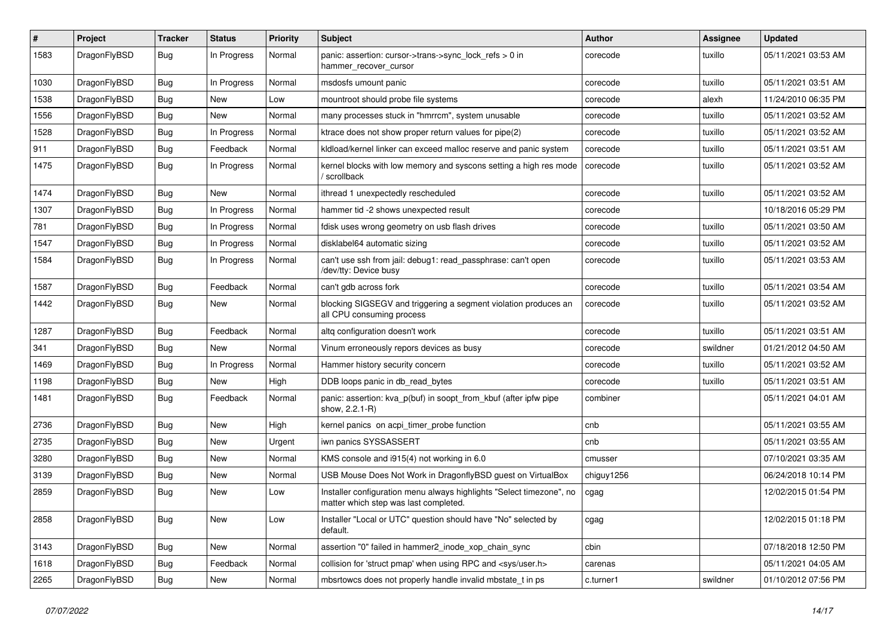| $\pmb{\#}$ | Project      | <b>Tracker</b> | <b>Status</b> | <b>Priority</b> | Subject                                                                                                       | <b>Author</b> | <b>Assignee</b> | <b>Updated</b>      |
|------------|--------------|----------------|---------------|-----------------|---------------------------------------------------------------------------------------------------------------|---------------|-----------------|---------------------|
| 1583       | DragonFlyBSD | Bug            | In Progress   | Normal          | panic: assertion: cursor->trans->sync_lock_refs > 0 in<br>hammer_recover_cursor                               | corecode      | tuxillo         | 05/11/2021 03:53 AM |
| 1030       | DragonFlyBSD | <b>Bug</b>     | In Progress   | Normal          | msdosfs umount panic                                                                                          | corecode      | tuxillo         | 05/11/2021 03:51 AM |
| 1538       | DragonFlyBSD | Bug            | <b>New</b>    | Low             | mountroot should probe file systems                                                                           | corecode      | alexh           | 11/24/2010 06:35 PM |
| 1556       | DragonFlyBSD | <b>Bug</b>     | <b>New</b>    | Normal          | many processes stuck in "hmrrcm", system unusable                                                             | corecode      | tuxillo         | 05/11/2021 03:52 AM |
| 1528       | DragonFlyBSD | <b>Bug</b>     | In Progress   | Normal          | ktrace does not show proper return values for pipe(2)                                                         | corecode      | tuxillo         | 05/11/2021 03:52 AM |
| 911        | DragonFlyBSD | <b>Bug</b>     | Feedback      | Normal          | kldload/kernel linker can exceed malloc reserve and panic system                                              | corecode      | tuxillo         | 05/11/2021 03:51 AM |
| 1475       | DragonFlyBSD | <b>Bug</b>     | In Progress   | Normal          | kernel blocks with low memory and syscons setting a high res mode<br>' scrollback                             | corecode      | tuxillo         | 05/11/2021 03:52 AM |
| 1474       | DragonFlyBSD | Bug            | <b>New</b>    | Normal          | ithread 1 unexpectedly rescheduled                                                                            | corecode      | tuxillo         | 05/11/2021 03:52 AM |
| 1307       | DragonFlyBSD | <b>Bug</b>     | In Progress   | Normal          | hammer tid -2 shows unexpected result                                                                         | corecode      |                 | 10/18/2016 05:29 PM |
| 781        | DragonFlyBSD | Bug            | In Progress   | Normal          | fdisk uses wrong geometry on usb flash drives                                                                 | corecode      | tuxillo         | 05/11/2021 03:50 AM |
| 1547       | DragonFlyBSD | <b>Bug</b>     | In Progress   | Normal          | disklabel64 automatic sizing                                                                                  | corecode      | tuxillo         | 05/11/2021 03:52 AM |
| 1584       | DragonFlyBSD | Bug            | In Progress   | Normal          | can't use ssh from jail: debug1: read_passphrase: can't open<br>/dev/tty: Device busy                         | corecode      | tuxillo         | 05/11/2021 03:53 AM |
| 1587       | DragonFlyBSD | <b>Bug</b>     | Feedback      | Normal          | can't gdb across fork                                                                                         | corecode      | tuxillo         | 05/11/2021 03:54 AM |
| 1442       | DragonFlyBSD | <b>Bug</b>     | New           | Normal          | blocking SIGSEGV and triggering a segment violation produces an<br>all CPU consuming process                  | corecode      | tuxillo         | 05/11/2021 03:52 AM |
| 1287       | DragonFlyBSD | Bug            | Feedback      | Normal          | altg configuration doesn't work                                                                               | corecode      | tuxillo         | 05/11/2021 03:51 AM |
| 341        | DragonFlyBSD | Bug            | New           | Normal          | Vinum erroneously repors devices as busy                                                                      | corecode      | swildner        | 01/21/2012 04:50 AM |
| 1469       | DragonFlyBSD | <b>Bug</b>     | In Progress   | Normal          | Hammer history security concern                                                                               | corecode      | tuxillo         | 05/11/2021 03:52 AM |
| 1198       | DragonFlyBSD | <b>Bug</b>     | <b>New</b>    | High            | DDB loops panic in db read bytes                                                                              | corecode      | tuxillo         | 05/11/2021 03:51 AM |
| 1481       | DragonFlyBSD | Bug            | Feedback      | Normal          | panic: assertion: kva p(buf) in soopt from kbuf (after ipfw pipe<br>show, 2.2.1-R)                            | combiner      |                 | 05/11/2021 04:01 AM |
| 2736       | DragonFlyBSD | Bug            | <b>New</b>    | High            | kernel panics on acpi timer probe function                                                                    | cnb           |                 | 05/11/2021 03:55 AM |
| 2735       | DragonFlyBSD | Bug            | <b>New</b>    | Urgent          | iwn panics SYSSASSERT                                                                                         | cnb           |                 | 05/11/2021 03:55 AM |
| 3280       | DragonFlyBSD | Bug            | <b>New</b>    | Normal          | KMS console and i915(4) not working in 6.0                                                                    | cmusser       |                 | 07/10/2021 03:35 AM |
| 3139       | DragonFlyBSD | Bug            | <b>New</b>    | Normal          | USB Mouse Does Not Work in DragonflyBSD guest on VirtualBox                                                   | chiguy1256    |                 | 06/24/2018 10:14 PM |
| 2859       | DragonFlyBSD | <b>Bug</b>     | <b>New</b>    | Low             | Installer configuration menu always highlights "Select timezone", no<br>matter which step was last completed. | cgag          |                 | 12/02/2015 01:54 PM |
| 2858       | DragonFlyBSD | Bug            | New           | Low             | Installer "Local or UTC" question should have "No" selected by<br>default.                                    | cgag          |                 | 12/02/2015 01:18 PM |
| 3143       | DragonFlyBSD | <b>Bug</b>     | New           | Normal          | assertion "0" failed in hammer2_inode_xop_chain_sync                                                          | cbin          |                 | 07/18/2018 12:50 PM |
| 1618       | DragonFlyBSD | Bug            | Feedback      | Normal          | collision for 'struct pmap' when using RPC and <sys user.h=""></sys>                                          | carenas       |                 | 05/11/2021 04:05 AM |
| 2265       | DragonFlyBSD | Bug            | New           | Normal          | mbsrtowcs does not properly handle invalid mbstate_t in ps                                                    | c.turner1     | swildner        | 01/10/2012 07:56 PM |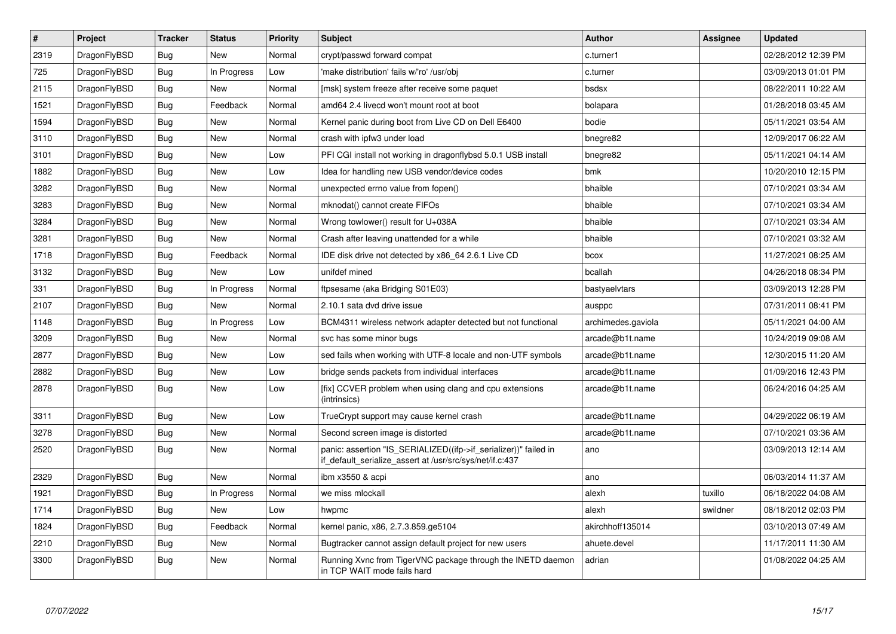| $\vert$ # | Project      | <b>Tracker</b> | <b>Status</b> | <b>Priority</b> | <b>Subject</b>                                                                                                               | <b>Author</b>      | <b>Assignee</b> | <b>Updated</b>      |
|-----------|--------------|----------------|---------------|-----------------|------------------------------------------------------------------------------------------------------------------------------|--------------------|-----------------|---------------------|
| 2319      | DragonFlyBSD | <b>Bug</b>     | <b>New</b>    | Normal          | crypt/passwd forward compat                                                                                                  | c.turner1          |                 | 02/28/2012 12:39 PM |
| 725       | DragonFlyBSD | Bug            | In Progress   | Low             | 'make distribution' fails w/'ro' /usr/obj                                                                                    | c.turner           |                 | 03/09/2013 01:01 PM |
| 2115      | DragonFlyBSD | <b>Bug</b>     | <b>New</b>    | Normal          | [msk] system freeze after receive some paquet                                                                                | bsdsx              |                 | 08/22/2011 10:22 AM |
| 1521      | DragonFlyBSD | Bug            | Feedback      | Normal          | amd64 2.4 livecd won't mount root at boot                                                                                    | bolapara           |                 | 01/28/2018 03:45 AM |
| 1594      | DragonFlyBSD | <b>Bug</b>     | <b>New</b>    | Normal          | Kernel panic during boot from Live CD on Dell E6400                                                                          | bodie              |                 | 05/11/2021 03:54 AM |
| 3110      | DragonFlyBSD | <b>Bug</b>     | <b>New</b>    | Normal          | crash with ipfw3 under load                                                                                                  | bnegre82           |                 | 12/09/2017 06:22 AM |
| 3101      | DragonFlyBSD | Bug            | <b>New</b>    | Low             | PFI CGI install not working in dragonflybsd 5.0.1 USB install                                                                | bnegre82           |                 | 05/11/2021 04:14 AM |
| 1882      | DragonFlyBSD | <b>Bug</b>     | <b>New</b>    | Low             | Idea for handling new USB vendor/device codes                                                                                | bmk                |                 | 10/20/2010 12:15 PM |
| 3282      | DragonFlyBSD | Bug            | New           | Normal          | unexpected errno value from fopen()                                                                                          | bhaible            |                 | 07/10/2021 03:34 AM |
| 3283      | DragonFlyBSD | <b>Bug</b>     | <b>New</b>    | Normal          | mknodat() cannot create FIFOs                                                                                                | bhaible            |                 | 07/10/2021 03:34 AM |
| 3284      | DragonFlyBSD | Bug            | <b>New</b>    | Normal          | Wrong towlower() result for U+038A                                                                                           | bhaible            |                 | 07/10/2021 03:34 AM |
| 3281      | DragonFlyBSD | Bug            | <b>New</b>    | Normal          | Crash after leaving unattended for a while                                                                                   | bhaible            |                 | 07/10/2021 03:32 AM |
| 1718      | DragonFlyBSD | Bug            | Feedback      | Normal          | IDE disk drive not detected by x86 64 2.6.1 Live CD                                                                          | bcox               |                 | 11/27/2021 08:25 AM |
| 3132      | DragonFlyBSD | Bug            | <b>New</b>    | Low             | unifdef mined                                                                                                                | bcallah            |                 | 04/26/2018 08:34 PM |
| 331       | DragonFlyBSD | Bug            | In Progress   | Normal          | ftpsesame (aka Bridging S01E03)                                                                                              | bastyaelvtars      |                 | 03/09/2013 12:28 PM |
| 2107      | DragonFlyBSD | Bug            | <b>New</b>    | Normal          | 2.10.1 sata dvd drive issue                                                                                                  | ausppc             |                 | 07/31/2011 08:41 PM |
| 1148      | DragonFlyBSD | <b>Bug</b>     | In Progress   | Low             | BCM4311 wireless network adapter detected but not functional                                                                 | archimedes.gaviola |                 | 05/11/2021 04:00 AM |
| 3209      | DragonFlyBSD | Bug            | <b>New</b>    | Normal          | svc has some minor bugs                                                                                                      | arcade@b1t.name    |                 | 10/24/2019 09:08 AM |
| 2877      | DragonFlyBSD | <b>Bug</b>     | <b>New</b>    | Low             | sed fails when working with UTF-8 locale and non-UTF symbols                                                                 | arcade@b1t.name    |                 | 12/30/2015 11:20 AM |
| 2882      | DragonFlyBSD | Bug            | <b>New</b>    | Low             | bridge sends packets from individual interfaces                                                                              | arcade@b1t.name    |                 | 01/09/2016 12:43 PM |
| 2878      | DragonFlyBSD | <b>Bug</b>     | <b>New</b>    | Low             | [fix] CCVER problem when using clang and cpu extensions<br>(intrinsics)                                                      | arcade@b1t.name    |                 | 06/24/2016 04:25 AM |
| 3311      | DragonFlyBSD | <b>Bug</b>     | <b>New</b>    | Low             | TrueCrypt support may cause kernel crash                                                                                     | arcade@b1t.name    |                 | 04/29/2022 06:19 AM |
| 3278      | DragonFlyBSD | <b>Bug</b>     | <b>New</b>    | Normal          | Second screen image is distorted                                                                                             | arcade@b1t.name    |                 | 07/10/2021 03:36 AM |
| 2520      | DragonFlyBSD | <b>Bug</b>     | <b>New</b>    | Normal          | panic: assertion "IS SERIALIZED((ifp->if serializer))" failed in<br>if default serialize assert at /usr/src/sys/net/if.c:437 | ano                |                 | 03/09/2013 12:14 AM |
| 2329      | DragonFlyBSD | <b>Bug</b>     | New           | Normal          | ibm x3550 & acpi                                                                                                             | ano                |                 | 06/03/2014 11:37 AM |
| 1921      | DragonFlyBSD | <b>Bug</b>     | In Progress   | Normal          | we miss mlockall                                                                                                             | alexh              | tuxillo         | 06/18/2022 04:08 AM |
| 1714      | DragonFlyBSD | Bug            | <b>New</b>    | Low             | hwpmc                                                                                                                        | alexh              | swildner        | 08/18/2012 02:03 PM |
| 1824      | DragonFlyBSD | <b>Bug</b>     | Feedback      | Normal          | kernel panic, x86, 2.7.3.859.ge5104                                                                                          | akirchhoff135014   |                 | 03/10/2013 07:49 AM |
| 2210      | DragonFlyBSD | <b>Bug</b>     | <b>New</b>    | Normal          | Bugtracker cannot assign default project for new users                                                                       | ahuete.devel       |                 | 11/17/2011 11:30 AM |
| 3300      | DragonFlyBSD | Bug            | <b>New</b>    | Normal          | Running Xvnc from TigerVNC package through the INETD daemon<br>in TCP WAIT mode fails hard                                   | adrian             |                 | 01/08/2022 04:25 AM |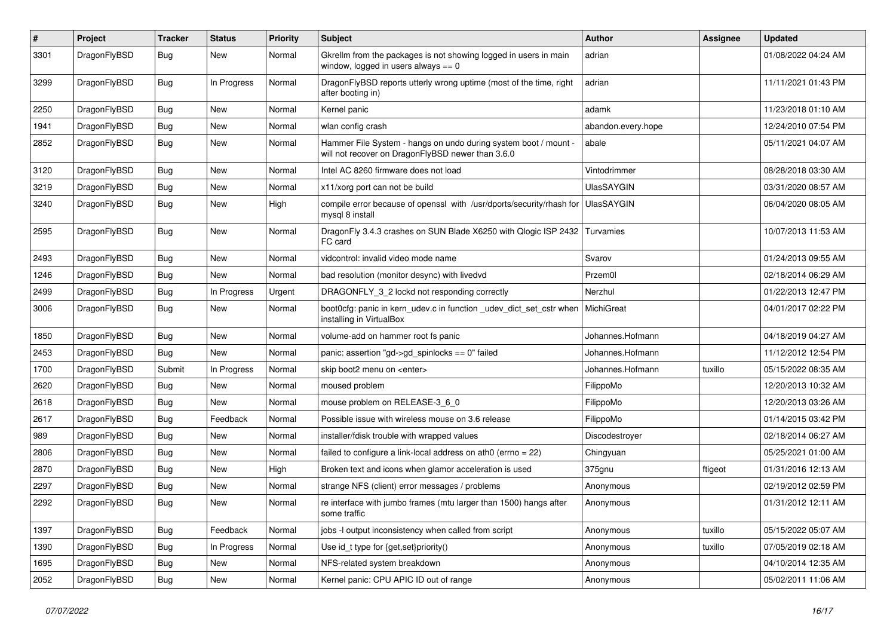| $\#$ | Project      | <b>Tracker</b> | <b>Status</b> | <b>Priority</b> | Subject                                                                                                              | Author             | Assignee | <b>Updated</b>      |
|------|--------------|----------------|---------------|-----------------|----------------------------------------------------------------------------------------------------------------------|--------------------|----------|---------------------|
| 3301 | DragonFlyBSD | Bug            | <b>New</b>    | Normal          | Gkrellm from the packages is not showing logged in users in main<br>window, logged in users always $== 0$            | adrian             |          | 01/08/2022 04:24 AM |
| 3299 | DragonFlyBSD | <b>Bug</b>     | In Progress   | Normal          | DragonFlyBSD reports utterly wrong uptime (most of the time, right<br>after booting in)                              | adrian             |          | 11/11/2021 01:43 PM |
| 2250 | DragonFlyBSD | <b>Bug</b>     | <b>New</b>    | Normal          | Kernel panic                                                                                                         | adamk              |          | 11/23/2018 01:10 AM |
| 1941 | DragonFlyBSD | <b>Bug</b>     | <b>New</b>    | Normal          | wlan config crash                                                                                                    | abandon.every.hope |          | 12/24/2010 07:54 PM |
| 2852 | DragonFlyBSD | <b>Bug</b>     | <b>New</b>    | Normal          | Hammer File System - hangs on undo during system boot / mount -<br>will not recover on DragonFlyBSD newer than 3.6.0 | abale              |          | 05/11/2021 04:07 AM |
| 3120 | DragonFlyBSD | <b>Bug</b>     | <b>New</b>    | Normal          | Intel AC 8260 firmware does not load                                                                                 | Vintodrimmer       |          | 08/28/2018 03:30 AM |
| 3219 | DragonFlyBSD | <b>Bug</b>     | <b>New</b>    | Normal          | x11/xorg port can not be build                                                                                       | <b>UlasSAYGIN</b>  |          | 03/31/2020 08:57 AM |
| 3240 | DragonFlyBSD | <b>Bug</b>     | <b>New</b>    | High            | compile error because of openssl with /usr/dports/security/rhash for<br>mysql 8 install                              | <b>UlasSAYGIN</b>  |          | 06/04/2020 08:05 AM |
| 2595 | DragonFlyBSD | <b>Bug</b>     | <b>New</b>    | Normal          | DragonFly 3.4.3 crashes on SUN Blade X6250 with Qlogic ISP 2432<br>FC card                                           | Turvamies          |          | 10/07/2013 11:53 AM |
| 2493 | DragonFlyBSD | Bug            | <b>New</b>    | Normal          | vidcontrol: invalid video mode name                                                                                  | Svarov             |          | 01/24/2013 09:55 AM |
| 1246 | DragonFlyBSD | <b>Bug</b>     | <b>New</b>    | Normal          | bad resolution (monitor desync) with livedvd                                                                         | Przem0l            |          | 02/18/2014 06:29 AM |
| 2499 | DragonFlyBSD | <b>Bug</b>     | In Progress   | Urgent          | DRAGONFLY_3_2 lockd not responding correctly                                                                         | Nerzhul            |          | 01/22/2013 12:47 PM |
| 3006 | DragonFlyBSD | Bug            | New           | Normal          | boot0cfg: panic in kern_udev.c in function _udev_dict_set_cstr when<br>installing in VirtualBox                      | MichiGreat         |          | 04/01/2017 02:22 PM |
| 1850 | DragonFlyBSD | Bug            | <b>New</b>    | Normal          | volume-add on hammer root fs panic                                                                                   | Johannes.Hofmann   |          | 04/18/2019 04:27 AM |
| 2453 | DragonFlyBSD | Bug            | <b>New</b>    | Normal          | panic: assertion "gd->gd_spinlocks == 0" failed                                                                      | Johannes.Hofmann   |          | 11/12/2012 12:54 PM |
| 1700 | DragonFlyBSD | Submit         | In Progress   | Normal          | skip boot2 menu on <enter></enter>                                                                                   | Johannes.Hofmann   | tuxillo  | 05/15/2022 08:35 AM |
| 2620 | DragonFlyBSD | Bug            | <b>New</b>    | Normal          | moused problem                                                                                                       | FilippoMo          |          | 12/20/2013 10:32 AM |
| 2618 | DragonFlyBSD | <b>Bug</b>     | New           | Normal          | mouse problem on RELEASE-3_6_0                                                                                       | FilippoMo          |          | 12/20/2013 03:26 AM |
| 2617 | DragonFlyBSD | <b>Bug</b>     | Feedback      | Normal          | Possible issue with wireless mouse on 3.6 release                                                                    | FilippoMo          |          | 01/14/2015 03:42 PM |
| 989  | DragonFlyBSD | Bug            | <b>New</b>    | Normal          | installer/fdisk trouble with wrapped values                                                                          | Discodestroyer     |          | 02/18/2014 06:27 AM |
| 2806 | DragonFlyBSD | <b>Bug</b>     | <b>New</b>    | Normal          | failed to configure a link-local address on ath0 (errno = 22)                                                        | Chingyuan          |          | 05/25/2021 01:00 AM |
| 2870 | DragonFlyBSD | <b>Bug</b>     | New           | High            | Broken text and icons when glamor acceleration is used                                                               | 375gnu             | ftigeot  | 01/31/2016 12:13 AM |
| 2297 | DragonFlyBSD | <b>Bug</b>     | <b>New</b>    | Normal          | strange NFS (client) error messages / problems                                                                       | Anonymous          |          | 02/19/2012 02:59 PM |
| 2292 | DragonFlyBSD | Bug            | New           | Normal          | re interface with jumbo frames (mtu larger than 1500) hangs after<br>some traffic                                    | Anonymous          |          | 01/31/2012 12:11 AM |
| 1397 | DragonFlyBSD | <b>Bug</b>     | Feedback      | Normal          | jobs -I output inconsistency when called from script                                                                 | Anonymous          | tuxillo  | 05/15/2022 05:07 AM |
| 1390 | DragonFlyBSD | <b>Bug</b>     | In Progress   | Normal          | Use id_t type for {get,set}priority()                                                                                | Anonymous          | tuxillo  | 07/05/2019 02:18 AM |
| 1695 | DragonFlyBSD | <b>Bug</b>     | New           | Normal          | NFS-related system breakdown                                                                                         | Anonymous          |          | 04/10/2014 12:35 AM |
| 2052 | DragonFlyBSD | <b>Bug</b>     | New           | Normal          | Kernel panic: CPU APIC ID out of range                                                                               | Anonymous          |          | 05/02/2011 11:06 AM |